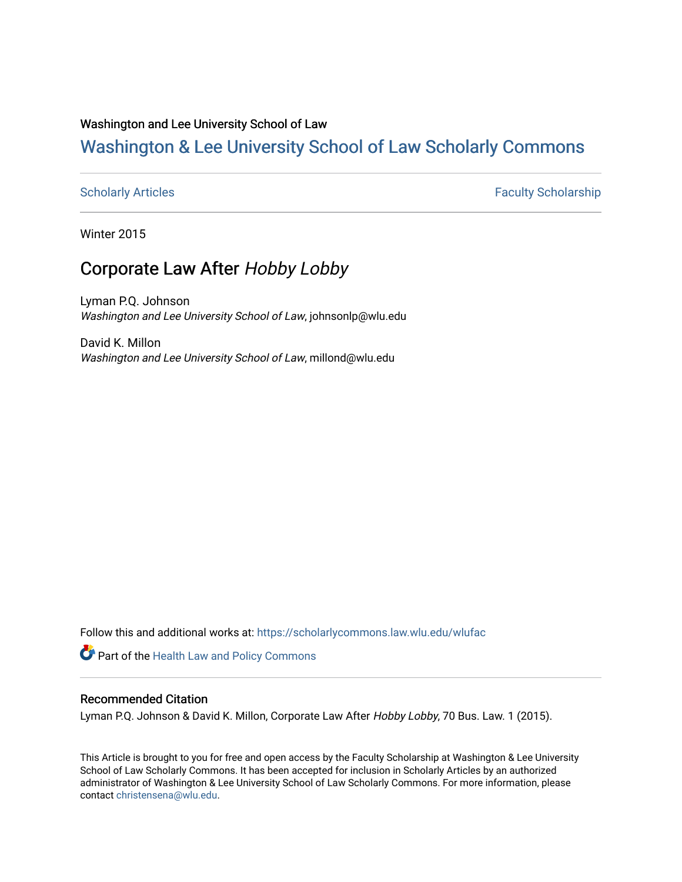### Washington and Lee University School of Law

# [Washington & Lee University School of Law Scholarly Commons](https://scholarlycommons.law.wlu.edu/)

[Scholarly Articles](https://scholarlycommons.law.wlu.edu/wlufac) **Faculty Scholarship** Faculty Scholarship

Winter 2015

## Corporate Law After Hobby Lobby

Lyman P.Q. Johnson Washington and Lee University School of Law, johnsonlp@wlu.edu

David K. Millon Washington and Lee University School of Law, millond@wlu.edu

Follow this and additional works at: [https://scholarlycommons.law.wlu.edu/wlufac](https://scholarlycommons.law.wlu.edu/wlufac?utm_source=scholarlycommons.law.wlu.edu%2Fwlufac%2F391&utm_medium=PDF&utm_campaign=PDFCoverPages)

**Part of the Health Law and Policy Commons** 

#### Recommended Citation

Lyman P.Q. Johnson & David K. Millon, Corporate Law After Hobby Lobby, 70 Bus. Law. 1 (2015).

This Article is brought to you for free and open access by the Faculty Scholarship at Washington & Lee University School of Law Scholarly Commons. It has been accepted for inclusion in Scholarly Articles by an authorized administrator of Washington & Lee University School of Law Scholarly Commons. For more information, please contact [christensena@wlu.edu](mailto:christensena@wlu.edu).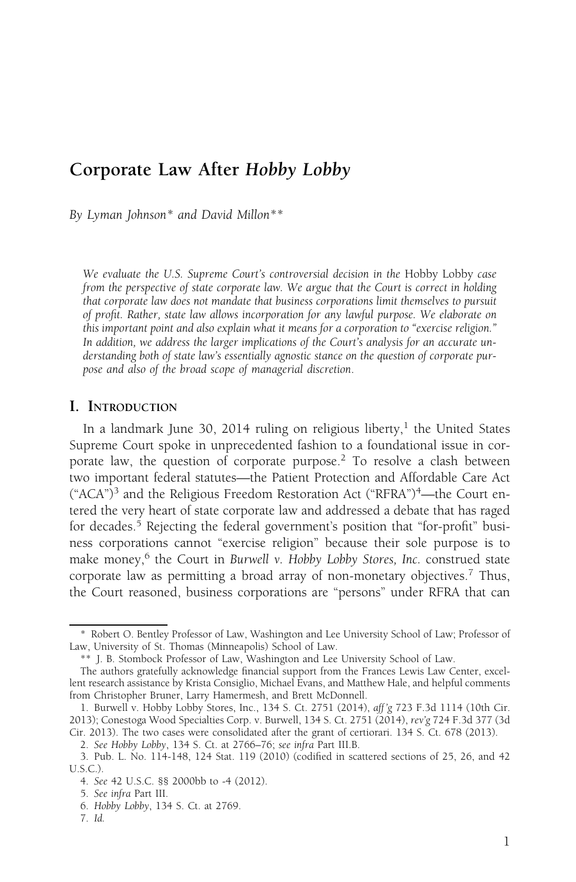## Corporate Law After Hobby Lobby

By Lyman Johnson\* and David Millon\*\*

We evaluate the U.S. Supreme Court's controversial decision in the Hobby Lobby case from the perspective of state corporate law. We argue that the Court is correct in holding that corporate law does not mandate that business corporations limit themselves to pursuit of profit. Rather, state law allows incorporation for any lawful purpose. We elaborate on this important point and also explain what it means for a corporation to "exercise religion." In addition, we address the larger implications of the Court's analysis for an accurate understanding both of state law's essentially agnostic stance on the question of corporate purpose and also of the broad scope of managerial discretion.

#### I. INTRODUCTION

In a landmark June 30, 2014 ruling on religious liberty,<sup>1</sup> the United States Supreme Court spoke in unprecedented fashion to a foundational issue in corporate law, the question of corporate purpose.<sup>2</sup> To resolve a clash between two important federal statutes—the Patient Protection and Affordable Care Act  $(*ACA<sup>n</sup>)<sup>3</sup>$  and the Religious Freedom Restoration Act  $(*RFRA<sup>n</sup>)<sup>4</sup>$ —the Court entered the very heart of state corporate law and addressed a debate that has raged for decades.<sup>5</sup> Rejecting the federal government's position that "for-profit" business corporations cannot "exercise religion" because their sole purpose is to make money, $6$  the Court in Burwell v. Hobby Lobby Stores, Inc. construed state corporate law as permitting a broad array of non-monetary objectives.<sup>7</sup> Thus, the Court reasoned, business corporations are "persons" under RFRA that can

<sup>\*</sup> Robert O. Bentley Professor of Law, Washington and Lee University School of Law; Professor of Law, University of St. Thomas (Minneapolis) School of Law.

<sup>\*\*</sup> J. B. Stombock Professor of Law, Washington and Lee University School of Law.

The authors gratefully acknowledge financial support from the Frances Lewis Law Center, excellent research assistance by Krista Consiglio, Michael Evans, and Matthew Hale, and helpful comments from Christopher Bruner, Larry Hamermesh, and Brett McDonnell.

<sup>1.</sup> Burwell v. Hobby Lobby Stores, Inc., 134 S. Ct. 2751 (2014), aff 'g 723 F.3d 1114 (10th Cir. 2013); Conestoga Wood Specialties Corp. v. Burwell, 134 S. Ct. 2751 (2014), rev'g 724 F.3d 377 (3d Cir. 2013). The two cases were consolidated after the grant of certiorari. 134 S. Ct. 678 (2013).

<sup>2.</sup> See Hobby Lobby, 134 S. Ct. at 2766–76; see infra Part III.B.

<sup>3.</sup> Pub. L. No. 114-148, 124 Stat. 119 (2010) (codified in scattered sections of 25, 26, and 42 U.S.C.).

<sup>4.</sup> See 42 U.S.C. §§ 2000bb to -4 (2012).

<sup>5.</sup> See infra Part III.

<sup>6.</sup> Hobby Lobby, 134 S. Ct. at 2769.

<sup>7.</sup> Id.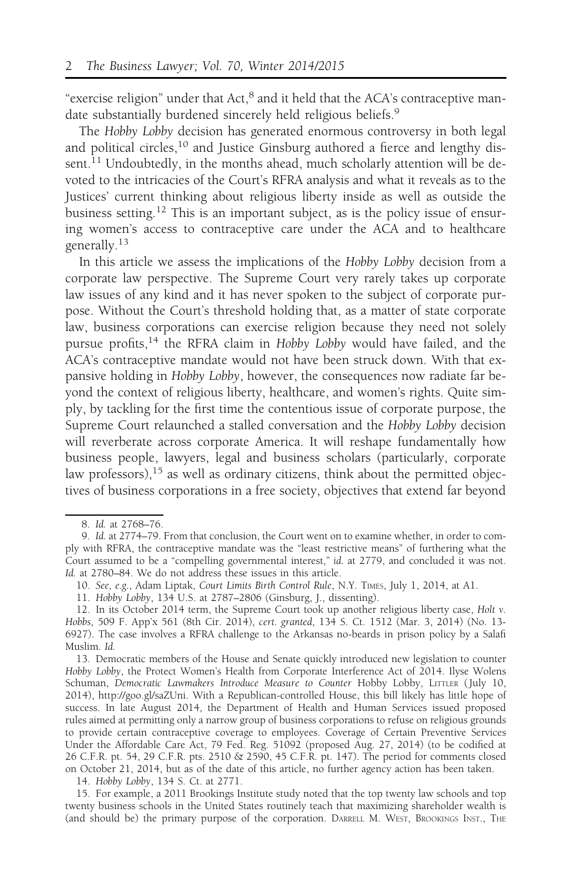"exercise religion" under that Act,<sup>8</sup> and it held that the ACA's contraceptive mandate substantially burdened sincerely held religious beliefs.<sup>9</sup>

The Hobby Lobby decision has generated enormous controversy in both legal and political circles,<sup>10</sup> and Justice Ginsburg authored a fierce and lengthy dissent.<sup>11</sup> Undoubtedly, in the months ahead, much scholarly attention will be devoted to the intricacies of the Court's RFRA analysis and what it reveals as to the Justices' current thinking about religious liberty inside as well as outside the business setting.<sup>12</sup> This is an important subject, as is the policy issue of ensuring women's access to contraceptive care under the ACA and to healthcare generally.<sup>13</sup>

In this article we assess the implications of the Hobby Lobby decision from a corporate law perspective. The Supreme Court very rarely takes up corporate law issues of any kind and it has never spoken to the subject of corporate purpose. Without the Court's threshold holding that, as a matter of state corporate law, business corporations can exercise religion because they need not solely pursue profits,<sup>14</sup> the RFRA claim in Hobby Lobby would have failed, and the ACA's contraceptive mandate would not have been struck down. With that expansive holding in Hobby Lobby, however, the consequences now radiate far beyond the context of religious liberty, healthcare, and women's rights. Quite simply, by tackling for the first time the contentious issue of corporate purpose, the Supreme Court relaunched a stalled conversation and the Hobby Lobby decision will reverberate across corporate America. It will reshape fundamentally how business people, lawyers, legal and business scholars (particularly, corporate law professors),<sup>15</sup> as well as ordinary citizens, think about the permitted objectives of business corporations in a free society, objectives that extend far beyond

14. Hobby Lobby, 134 S. Ct. at 2771.

15. For example, a 2011 Brookings Institute study noted that the top twenty law schools and top twenty business schools in the United States routinely teach that maximizing shareholder wealth is (and should be) the primary purpose of the corporation. DARRELL M. WEST, BROOKINGS INST., THE

<sup>8.</sup> Id. at 2768–76.

<sup>9.</sup> Id. at 2774–79. From that conclusion, the Court went on to examine whether, in order to comply with RFRA, the contraceptive mandate was the "least restrictive means" of furthering what the Court assumed to be a "compelling governmental interest," id. at 2779, and concluded it was not. Id. at 2780–84. We do not address these issues in this article.

<sup>10.</sup> See, e.g., Adam Liptak, Court Limits Birth Control Rule, N.Y. TIMES, July 1, 2014, at A1.

<sup>11.</sup> Hobby Lobby, 134 U.S. at 2787–2806 (Ginsburg, J., dissenting).

<sup>12.</sup> In its October 2014 term, the Supreme Court took up another religious liberty case, Holt v. Hobbs, 509 F. App'x 561 (8th Cir. 2014), cert. granted, 134 S. Ct. 1512 (Mar. 3, 2014) (No. 13- 6927). The case involves a RFRA challenge to the Arkansas no-beards in prison policy by a Salafi Muslim. Id.

<sup>13.</sup> Democratic members of the House and Senate quickly introduced new legislation to counter Hobby Lobby, the Protect Women's Health from Corporate Interference Act of 2014. Ilyse Wolens Schuman, Democratic Lawmakers Introduce Measure to Counter Hobby Lobby, LITTLER (July 10, 2014), http://goo.gl/saZUni. With a Republican-controlled House, this bill likely has little hope of success. In late August 2014, the Department of Health and Human Services issued proposed rules aimed at permitting only a narrow group of business corporations to refuse on religious grounds to provide certain contraceptive coverage to employees. Coverage of Certain Preventive Services Under the Affordable Care Act, 79 Fed. Reg. 51092 (proposed Aug. 27, 2014) (to be codified at 26 C.F.R. pt. 54, 29 C.F.R. pts. 2510 & 2590, 45 C.F.R. pt. 147). The period for comments closed on October 21, 2014, but as of the date of this article, no further agency action has been taken.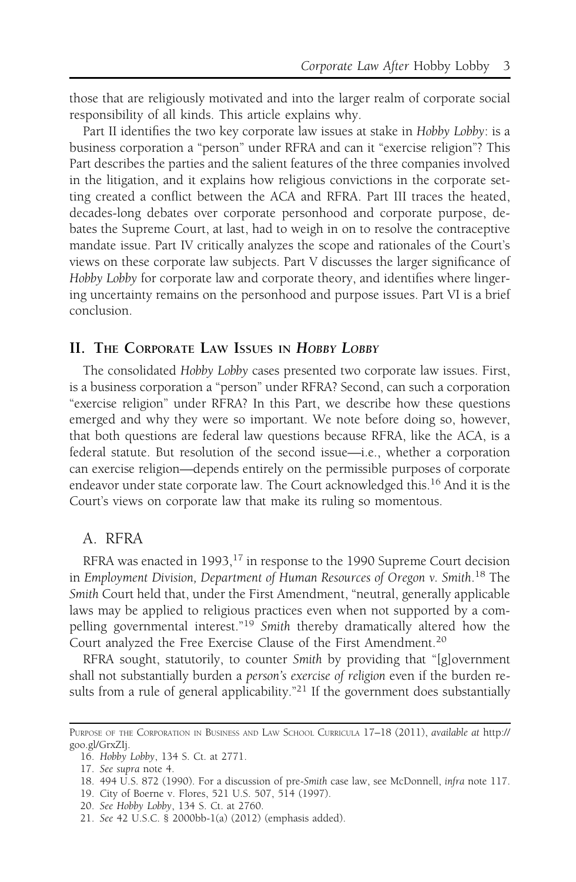those that are religiously motivated and into the larger realm of corporate social responsibility of all kinds. This article explains why.

Part II identifies the two key corporate law issues at stake in Hobby Lobby: is a business corporation a "person" under RFRA and can it "exercise religion"? This Part describes the parties and the salient features of the three companies involved in the litigation, and it explains how religious convictions in the corporate setting created a conflict between the ACA and RFRA. Part III traces the heated, decades-long debates over corporate personhood and corporate purpose, debates the Supreme Court, at last, had to weigh in on to resolve the contraceptive mandate issue. Part IV critically analyzes the scope and rationales of the Court's views on these corporate law subjects. Part V discusses the larger significance of Hobby Lobby for corporate law and corporate theory, and identifies where lingering uncertainty remains on the personhood and purpose issues. Part VI is a brief conclusion.

#### II. THE CORPORATE LAW ISSUES IN HOBBY LOBBY

The consolidated Hobby Lobby cases presented two corporate law issues. First, is a business corporation a "person" under RFRA? Second, can such a corporation "exercise religion" under RFRA? In this Part, we describe how these questions emerged and why they were so important. We note before doing so, however, that both questions are federal law questions because RFRA, like the ACA, is a federal statute. But resolution of the second issue—i.e., whether a corporation can exercise religion—depends entirely on the permissible purposes of corporate endeavor under state corporate law. The Court acknowledged this.<sup>16</sup> And it is the Court's views on corporate law that make its ruling so momentous.

#### A. RFRA

RFRA was enacted in 1993,<sup>17</sup> in response to the 1990 Supreme Court decision in Employment Division, Department of Human Resources of Oregon v. Smith. <sup>18</sup> The Smith Court held that, under the First Amendment, "neutral, generally applicable laws may be applied to religious practices even when not supported by a compelling governmental interest."<sup>19</sup> Smith thereby dramatically altered how the Court analyzed the Free Exercise Clause of the First Amendment.<sup>20</sup>

RFRA sought, statutorily, to counter Smith by providing that "[g]overnment shall not substantially burden a person's exercise of religion even if the burden results from a rule of general applicability."<sup>21</sup> If the government does substantially

19. City of Boerne v. Flores, 521 U.S. 507, 514 (1997).

PURPOSE OF THE CORPORATION IN BUSINESS AND LAW SCHOOL CURRICULA 17–18 (2011), available at http:// goo.gl/GrxZIj.

<sup>16.</sup> Hobby Lobby, 134 S. Ct. at 2771.

<sup>17.</sup> See supra note 4.

<sup>18. 494</sup> U.S. 872 (1990). For a discussion of pre-Smith case law, see McDonnell, infra note 117.

<sup>20.</sup> See Hobby Lobby, 134 S. Ct. at 2760.

<sup>21.</sup> See 42 U.S.C. § 2000bb-1(a) (2012) (emphasis added).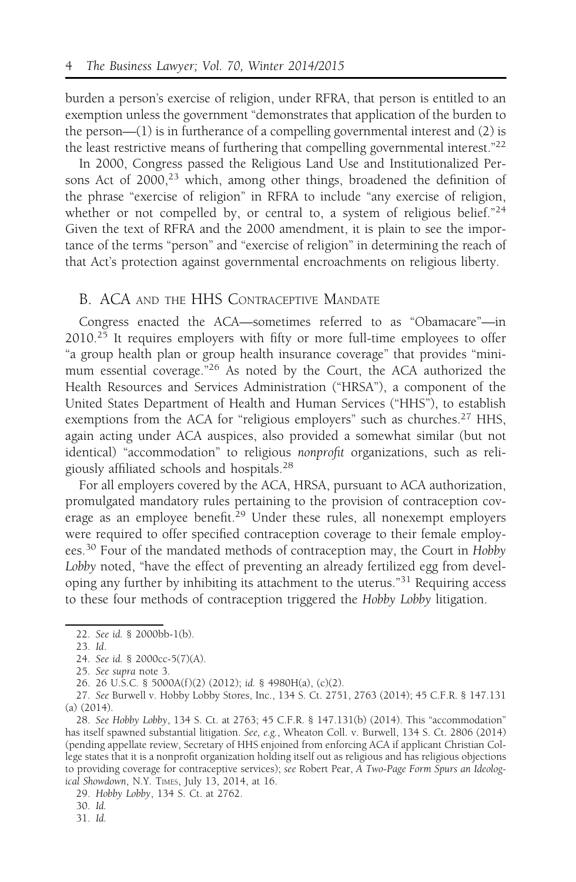burden a person's exercise of religion, under RFRA, that person is entitled to an exemption unless the government "demonstrates that application of the burden to the person— $(1)$  is in furtherance of a compelling governmental interest and  $(2)$  is the least restrictive means of furthering that compelling governmental interest."<sup>22</sup>

In 2000, Congress passed the Religious Land Use and Institutionalized Persons Act of  $2000<sub>1</sub><sup>23</sup>$  which, among other things, broadened the definition of the phrase "exercise of religion" in RFRA to include "any exercise of religion, whether or not compelled by, or central to, a system of religious belief."<sup>24</sup> Given the text of RFRA and the 2000 amendment, it is plain to see the importance of the terms "person" and "exercise of religion" in determining the reach of that Act's protection against governmental encroachments on religious liberty.

#### B. ACA AND THE HHS CONTRACEPTIVE MANDATE

Congress enacted the ACA—sometimes referred to as "Obamacare"—in  $2010<sup>25</sup>$  It requires employers with fifty or more full-time employees to offer "a group health plan or group health insurance coverage" that provides "minimum essential coverage.<sup>"26</sup> As noted by the Court, the ACA authorized the Health Resources and Services Administration ("HRSA"), a component of the United States Department of Health and Human Services ("HHS"), to establish exemptions from the ACA for "religious employers" such as churches.<sup>27</sup> HHS, again acting under ACA auspices, also provided a somewhat similar (but not identical) "accommodation" to religious nonprofit organizations, such as religiously affiliated schools and hospitals.<sup>28</sup>

For all employers covered by the ACA, HRSA, pursuant to ACA authorization, promulgated mandatory rules pertaining to the provision of contraception coverage as an employee benefit.<sup>29</sup> Under these rules, all nonexempt employers were required to offer specified contraception coverage to their female employees.<sup>30</sup> Four of the mandated methods of contraception may, the Court in Hobby Lobby noted, "have the effect of preventing an already fertilized egg from developing any further by inhibiting its attachment to the uterus."<sup>31</sup> Requiring access to these four methods of contraception triggered the Hobby Lobby litigation.

<sup>22.</sup> See id. § 2000bb-1(b).

<sup>23.</sup> Id.

<sup>24.</sup> See id. § 2000cc-5(7)(A).

<sup>25.</sup> See supra note 3.

<sup>26. 26</sup> U.S.C. § 5000A(f )(2) (2012); id. § 4980H(a), (c)(2).

<sup>27.</sup> See Burwell v. Hobby Lobby Stores, Inc., 134 S. Ct. 2751, 2763 (2014); 45 C.F.R. § 147.131 (a) (2014).

<sup>28.</sup> See Hobby Lobby, 134 S. Ct. at 2763; 45 C.F.R. § 147.131(b) (2014). This "accommodation" has itself spawned substantial litigation. See, e.g., Wheaton Coll. v. Burwell, 134 S. Ct. 2806 (2014) (pending appellate review, Secretary of HHS enjoined from enforcing ACA if applicant Christian College states that it is a nonprofit organization holding itself out as religious and has religious objections to providing coverage for contraceptive services); see Robert Pear, A Two-Page Form Spurs an Ideological Showdown, N.Y. TIMES, July 13, 2014, at 16.

<sup>29.</sup> Hobby Lobby, 134 S. Ct. at 2762.

<sup>30.</sup> Id.

<sup>31.</sup> Id.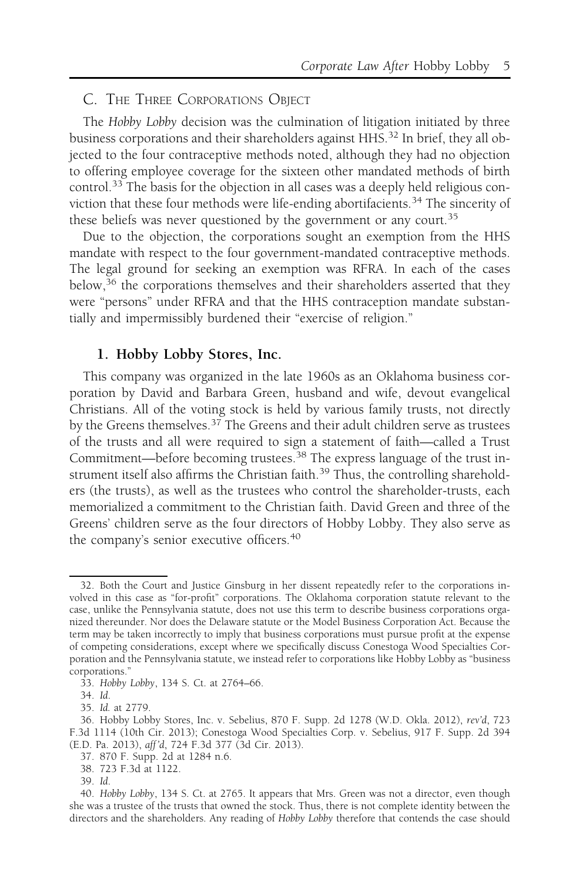#### C. THE THREE CORPORATIONS OBJECT

The Hobby Lobby decision was the culmination of litigation initiated by three business corporations and their shareholders against HHS.<sup>32</sup> In brief, they all objected to the four contraceptive methods noted, although they had no objection to offering employee coverage for the sixteen other mandated methods of birth control.<sup>33</sup> The basis for the objection in all cases was a deeply held religious conviction that these four methods were life-ending abortifacients.<sup>34</sup> The sincerity of these beliefs was never questioned by the government or any court.<sup>35</sup>

Due to the objection, the corporations sought an exemption from the HHS mandate with respect to the four government-mandated contraceptive methods. The legal ground for seeking an exemption was RFRA. In each of the cases below,<sup>36</sup> the corporations themselves and their shareholders asserted that they were "persons" under RFRA and that the HHS contraception mandate substantially and impermissibly burdened their "exercise of religion."

#### 1. Hobby Lobby Stores, Inc.

This company was organized in the late 1960s as an Oklahoma business corporation by David and Barbara Green, husband and wife, devout evangelical Christians. All of the voting stock is held by various family trusts, not directly by the Greens themselves. $37$  The Greens and their adult children serve as trustees of the trusts and all were required to sign a statement of faith—called a Trust Commitment—before becoming trustees.<sup>38</sup> The express language of the trust instrument itself also affirms the Christian faith.<sup>39</sup> Thus, the controlling shareholders (the trusts), as well as the trustees who control the shareholder-trusts, each memorialized a commitment to the Christian faith. David Green and three of the Greens' children serve as the four directors of Hobby Lobby. They also serve as the company's senior executive officers.<sup>40</sup>

<sup>32.</sup> Both the Court and Justice Ginsburg in her dissent repeatedly refer to the corporations involved in this case as "for-profit" corporations. The Oklahoma corporation statute relevant to the case, unlike the Pennsylvania statute, does not use this term to describe business corporations organized thereunder. Nor does the Delaware statute or the Model Business Corporation Act. Because the term may be taken incorrectly to imply that business corporations must pursue profit at the expense of competing considerations, except where we specifically discuss Conestoga Wood Specialties Corporation and the Pennsylvania statute, we instead refer to corporations like Hobby Lobby as "business corporations."

<sup>33.</sup> Hobby Lobby, 134 S. Ct. at 2764–66.

<sup>34.</sup> Id.

<sup>35.</sup> Id. at 2779.

<sup>36.</sup> Hobby Lobby Stores, Inc. v. Sebelius, 870 F. Supp. 2d 1278 (W.D. Okla. 2012), rev'd, 723 F.3d 1114 (10th Cir. 2013); Conestoga Wood Specialties Corp. v. Sebelius, 917 F. Supp. 2d 394 (E.D. Pa. 2013), aff 'd, 724 F.3d 377 (3d Cir. 2013).

<sup>37. 870</sup> F. Supp. 2d at 1284 n.6.

<sup>38. 723</sup> F.3d at 1122.

<sup>39.</sup> Id.

<sup>40.</sup> Hobby Lobby, 134 S. Ct. at 2765. It appears that Mrs. Green was not a director, even though she was a trustee of the trusts that owned the stock. Thus, there is not complete identity between the directors and the shareholders. Any reading of Hobby Lobby therefore that contends the case should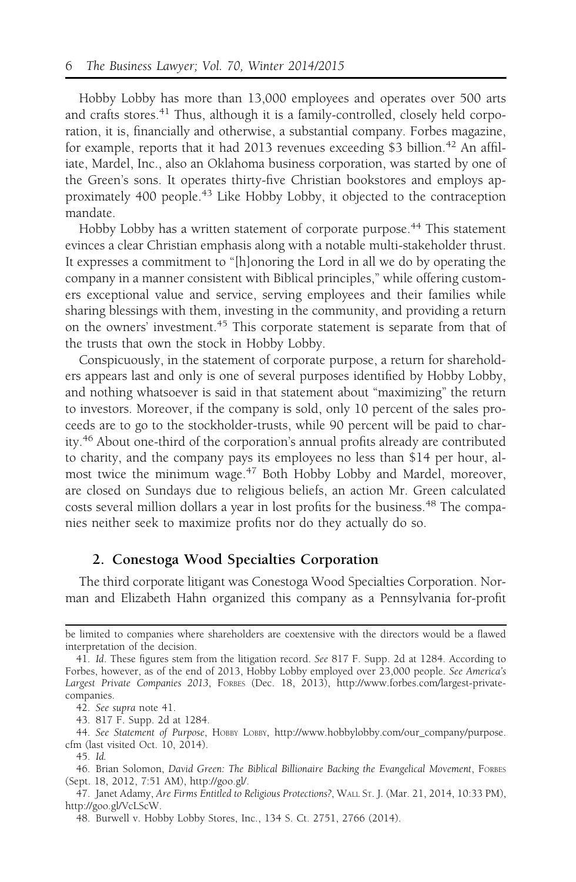Hobby Lobby has more than 13,000 employees and operates over 500 arts and crafts stores.<sup>41</sup> Thus, although it is a family-controlled, closely held corporation, it is, financially and otherwise, a substantial company. Forbes magazine, for example, reports that it had 2013 revenues exceeding \$3 billion.<sup>42</sup> An affiliate, Mardel, Inc., also an Oklahoma business corporation, was started by one of the Green's sons. It operates thirty-five Christian bookstores and employs approximately 400 people.<sup>43</sup> Like Hobby Lobby, it objected to the contraception mandate.

Hobby Lobby has a written statement of corporate purpose.<sup>44</sup> This statement evinces a clear Christian emphasis along with a notable multi-stakeholder thrust. It expresses a commitment to "[h]onoring the Lord in all we do by operating the company in a manner consistent with Biblical principles," while offering customers exceptional value and service, serving employees and their families while sharing blessings with them, investing in the community, and providing a return on the owners' investment.<sup>45</sup> This corporate statement is separate from that of the trusts that own the stock in Hobby Lobby.

Conspicuously, in the statement of corporate purpose, a return for shareholders appears last and only is one of several purposes identified by Hobby Lobby, and nothing whatsoever is said in that statement about "maximizing" the return to investors. Moreover, if the company is sold, only 10 percent of the sales proceeds are to go to the stockholder-trusts, while 90 percent will be paid to charity.<sup>46</sup> About one-third of the corporation's annual profits already are contributed to charity, and the company pays its employees no less than \$14 per hour, almost twice the minimum wage.<sup>47</sup> Both Hobby Lobby and Mardel, moreover, are closed on Sundays due to religious beliefs, an action Mr. Green calculated costs several million dollars a year in lost profits for the business.<sup>48</sup> The companies neither seek to maximize profits nor do they actually do so.

#### 2. Conestoga Wood Specialties Corporation

The third corporate litigant was Conestoga Wood Specialties Corporation. Norman and Elizabeth Hahn organized this company as a Pennsylvania for-profit

be limited to companies where shareholders are coextensive with the directors would be a flawed interpretation of the decision.

<sup>41.</sup> Id. These figures stem from the litigation record. See 817 F. Supp. 2d at 1284. According to Forbes, however, as of the end of 2013, Hobby Lobby employed over 23,000 people. See America's Largest Private Companies 2013, FORBES (Dec. 18, 2013), http://www.forbes.com/largest-privatecompanies.

<sup>42.</sup> See supra note 41.

<sup>43. 817</sup> F. Supp. 2d at 1284.

<sup>44.</sup> See Statement of Purpose, HOBBY LOBBY, http://www.hobbylobby.com/our\_company/purpose. cfm (last visited Oct. 10, 2014).

<sup>45.</sup> Id.

<sup>46.</sup> Brian Solomon, David Green: The Biblical Billionaire Backing the Evangelical Movement, FORBES (Sept. 18, 2012, 7:51 AM), http://goo.gl/.

<sup>47.</sup> Janet Adamy, Are Firms Entitled to Religious Protections?, WALL ST. J. (Mar. 21, 2014, 10:33 PM), http://goo.gl/VcLScW.

<sup>48.</sup> Burwell v. Hobby Lobby Stores, Inc., 134 S. Ct. 2751, 2766 (2014).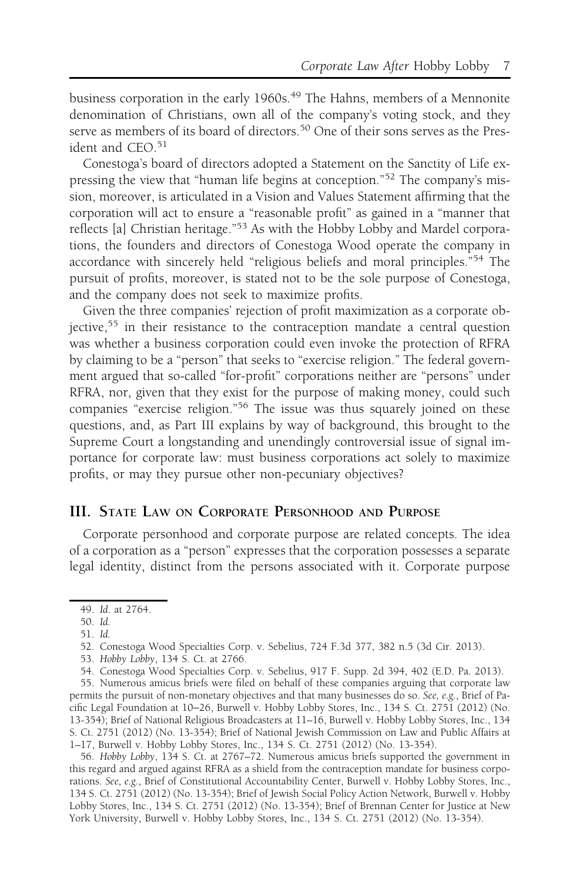business corporation in the early 1960s.<sup>49</sup> The Hahns, members of a Mennonite denomination of Christians, own all of the company's voting stock, and they serve as members of its board of directors.<sup>50</sup> One of their sons serves as the President and CEO.<sup>51</sup>

Conestoga's board of directors adopted a Statement on the Sanctity of Life expressing the view that "human life begins at conception."<sup>52</sup> The company's mission, moreover, is articulated in a Vision and Values Statement affirming that the corporation will act to ensure a "reasonable profit" as gained in a "manner that reflects [a] Christian heritage."<sup>53</sup> As with the Hobby Lobby and Mardel corporations, the founders and directors of Conestoga Wood operate the company in accordance with sincerely held "religious beliefs and moral principles."<sup>54</sup> The pursuit of profits, moreover, is stated not to be the sole purpose of Conestoga, and the company does not seek to maximize profits.

Given the three companies' rejection of profit maximization as a corporate objective,<sup>55</sup> in their resistance to the contraception mandate a central question was whether a business corporation could even invoke the protection of RFRA by claiming to be a "person" that seeks to "exercise religion." The federal government argued that so-called "for-profit" corporations neither are "persons" under RFRA, nor, given that they exist for the purpose of making money, could such companies "exercise religion."<sup>56</sup> The issue was thus squarely joined on these questions, and, as Part III explains by way of background, this brought to the Supreme Court a longstanding and unendingly controversial issue of signal importance for corporate law: must business corporations act solely to maximize profits, or may they pursue other non-pecuniary objectives?

#### III. STATE LAW ON CORPORATE PERSONHOOD AND PURPOSE

Corporate personhood and corporate purpose are related concepts. The idea of a corporation as a "person" expresses that the corporation possesses a separate legal identity, distinct from the persons associated with it. Corporate purpose

54. Conestoga Wood Specialties Corp. v. Sebelius, 917 F. Supp. 2d 394, 402 (E.D. Pa. 2013).

55. Numerous amicus briefs were filed on behalf of these companies arguing that corporate law permits the pursuit of non-monetary objectives and that many businesses do so. See, e.g., Brief of Pacific Legal Foundation at 10−26, Burwell v. Hobby Lobby Stores, Inc., 134 S. Ct. 2751 (2012) (No. 13-354); Brief of National Religious Broadcasters at 11–16, Burwell v. Hobby Lobby Stores, Inc., 134 S. Ct. 2751 (2012) (No. 13-354); Brief of National Jewish Commission on Law and Public Affairs at 1–17, Burwell v. Hobby Lobby Stores, Inc., 134 S. Ct. 2751 (2012) (No. 13-354).

56. Hobby Lobby, 134 S. Ct. at 2767–72. Numerous amicus briefs supported the government in this regard and argued against RFRA as a shield from the contraception mandate for business corporations. See, e.g., Brief of Constitutional Accountability Center, Burwell v. Hobby Lobby Stores, Inc., 134 S. Ct. 2751 (2012) (No. 13-354); Brief of Jewish Social Policy Action Network, Burwell v. Hobby Lobby Stores, Inc., 134 S. Ct. 2751 (2012) (No. 13-354); Brief of Brennan Center for Justice at New York University, Burwell v. Hobby Lobby Stores, Inc., 134 S. Ct. 2751 (2012) (No. 13-354).

<sup>49.</sup> Id. at 2764.

<sup>50.</sup> Id.

<sup>51.</sup> Id.

<sup>52.</sup> Conestoga Wood Specialties Corp. v. Sebelius, 724 F.3d 377, 382 n.5 (3d Cir. 2013).

<sup>53.</sup> Hobby Lobby, 134 S. Ct. at 2766.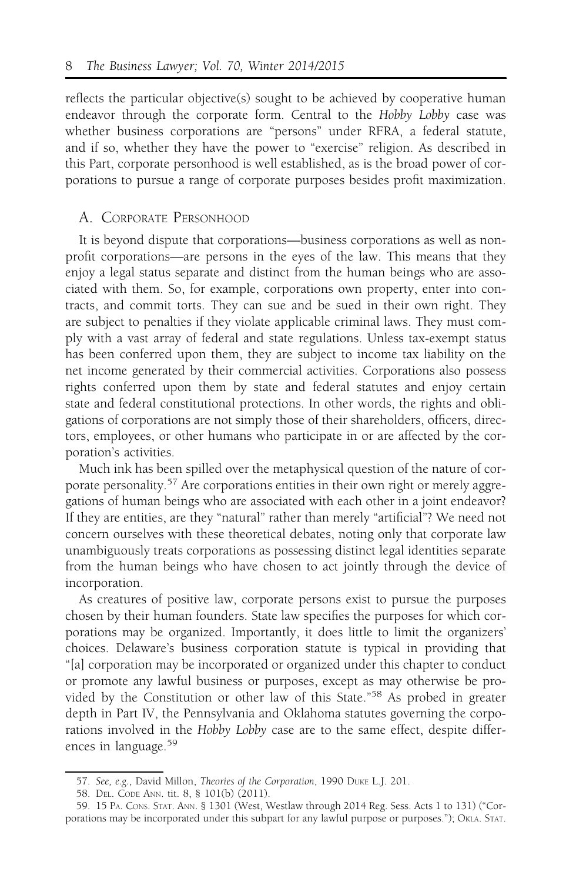reflects the particular objective(s) sought to be achieved by cooperative human endeavor through the corporate form. Central to the Hobby Lobby case was whether business corporations are "persons" under RFRA, a federal statute, and if so, whether they have the power to "exercise" religion. As described in this Part, corporate personhood is well established, as is the broad power of corporations to pursue a range of corporate purposes besides profit maximization.

#### A. CORPORATE PERSONHOOD

It is beyond dispute that corporations—business corporations as well as nonprofit corporations—are persons in the eyes of the law. This means that they enjoy a legal status separate and distinct from the human beings who are associated with them. So, for example, corporations own property, enter into contracts, and commit torts. They can sue and be sued in their own right. They are subject to penalties if they violate applicable criminal laws. They must comply with a vast array of federal and state regulations. Unless tax-exempt status has been conferred upon them, they are subject to income tax liability on the net income generated by their commercial activities. Corporations also possess rights conferred upon them by state and federal statutes and enjoy certain state and federal constitutional protections. In other words, the rights and obligations of corporations are not simply those of their shareholders, officers, directors, employees, or other humans who participate in or are affected by the corporation's activities.

Much ink has been spilled over the metaphysical question of the nature of corporate personality.<sup>57</sup> Are corporations entities in their own right or merely aggregations of human beings who are associated with each other in a joint endeavor? If they are entities, are they "natural" rather than merely "artificial"? We need not concern ourselves with these theoretical debates, noting only that corporate law unambiguously treats corporations as possessing distinct legal identities separate from the human beings who have chosen to act jointly through the device of incorporation.

As creatures of positive law, corporate persons exist to pursue the purposes chosen by their human founders. State law specifies the purposes for which corporations may be organized. Importantly, it does little to limit the organizers' choices. Delaware's business corporation statute is typical in providing that "[a] corporation may be incorporated or organized under this chapter to conduct or promote any lawful business or purposes, except as may otherwise be provided by the Constitution or other law of this State."<sup>58</sup> As probed in greater depth in Part IV, the Pennsylvania and Oklahoma statutes governing the corporations involved in the Hobby Lobby case are to the same effect, despite differences in language.<sup>59</sup>

<sup>57.</sup> See, e.g., David Millon, Theories of the Corporation, 1990 DUKE L.J. 201.

<sup>58.</sup> DEL. CODE ANN. tit. 8, § 101(b) (2011).

<sup>59. 15</sup> PA. CONS. STAT. ANN. § 1301 (West, Westlaw through 2014 Reg. Sess. Acts 1 to 131) ("Corporations may be incorporated under this subpart for any lawful purpose or purposes."); OKLA. STAT.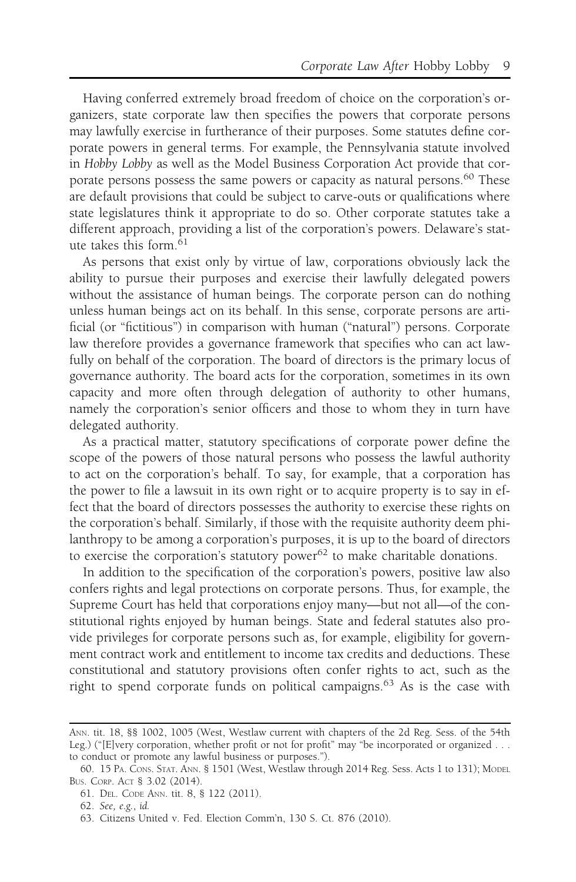Having conferred extremely broad freedom of choice on the corporation's organizers, state corporate law then specifies the powers that corporate persons may lawfully exercise in furtherance of their purposes. Some statutes define corporate powers in general terms. For example, the Pennsylvania statute involved in Hobby Lobby as well as the Model Business Corporation Act provide that corporate persons possess the same powers or capacity as natural persons.<sup>60</sup> These are default provisions that could be subject to carve-outs or qualifications where state legislatures think it appropriate to do so. Other corporate statutes take a different approach, providing a list of the corporation's powers. Delaware's statute takes this form.<sup>61</sup>

As persons that exist only by virtue of law, corporations obviously lack the ability to pursue their purposes and exercise their lawfully delegated powers without the assistance of human beings. The corporate person can do nothing unless human beings act on its behalf. In this sense, corporate persons are artificial (or "fictitious") in comparison with human ("natural") persons. Corporate law therefore provides a governance framework that specifies who can act lawfully on behalf of the corporation. The board of directors is the primary locus of governance authority. The board acts for the corporation, sometimes in its own capacity and more often through delegation of authority to other humans, namely the corporation's senior officers and those to whom they in turn have delegated authority.

As a practical matter, statutory specifications of corporate power define the scope of the powers of those natural persons who possess the lawful authority to act on the corporation's behalf. To say, for example, that a corporation has the power to file a lawsuit in its own right or to acquire property is to say in effect that the board of directors possesses the authority to exercise these rights on the corporation's behalf. Similarly, if those with the requisite authority deem philanthropy to be among a corporation's purposes, it is up to the board of directors to exercise the corporation's statutory power $62$  to make charitable donations.

In addition to the specification of the corporation's powers, positive law also confers rights and legal protections on corporate persons. Thus, for example, the Supreme Court has held that corporations enjoy many—but not all—of the constitutional rights enjoyed by human beings. State and federal statutes also provide privileges for corporate persons such as, for example, eligibility for government contract work and entitlement to income tax credits and deductions. These constitutional and statutory provisions often confer rights to act, such as the right to spend corporate funds on political campaigns.<sup>63</sup> As is the case with

ANN. tit. 18, §§ 1002, 1005 (West, Westlaw current with chapters of the 2d Reg. Sess. of the 54th Leg.) ("[E]very corporation, whether profit or not for profit" may "be incorporated or organized . . . to conduct or promote any lawful business or purposes.").

<sup>60. 15</sup> PA. CONS. STAT. ANN. § 1501 (West, Westlaw through 2014 Reg. Sess. Acts 1 to 131); MODEL BUS. CORP. ACT § 3.02 (2014).

<sup>61.</sup> DEL. CODE ANN. tit. 8, § 122 (2011).

<sup>62.</sup> See, e.g., id.

<sup>63.</sup> Citizens United v. Fed. Election Comm'n, 130 S. Ct. 876 (2010).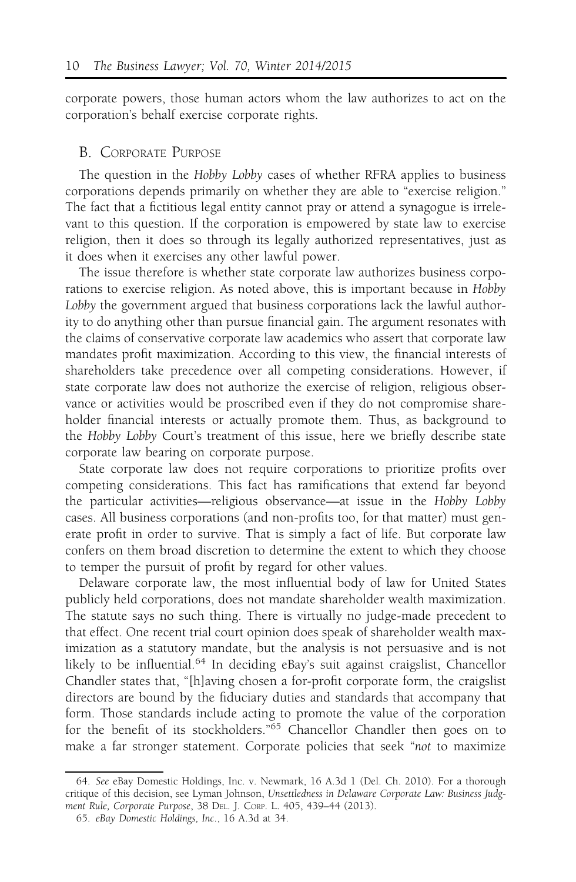corporate powers, those human actors whom the law authorizes to act on the corporation's behalf exercise corporate rights.

#### B. CORPORATE PURPOSE

The question in the Hobby Lobby cases of whether RFRA applies to business corporations depends primarily on whether they are able to "exercise religion." The fact that a fictitious legal entity cannot pray or attend a synagogue is irrelevant to this question. If the corporation is empowered by state law to exercise religion, then it does so through its legally authorized representatives, just as it does when it exercises any other lawful power.

The issue therefore is whether state corporate law authorizes business corporations to exercise religion. As noted above, this is important because in Hobby Lobby the government argued that business corporations lack the lawful authority to do anything other than pursue financial gain. The argument resonates with the claims of conservative corporate law academics who assert that corporate law mandates profit maximization. According to this view, the financial interests of shareholders take precedence over all competing considerations. However, if state corporate law does not authorize the exercise of religion, religious observance or activities would be proscribed even if they do not compromise shareholder financial interests or actually promote them. Thus, as background to the Hobby Lobby Court's treatment of this issue, here we briefly describe state corporate law bearing on corporate purpose.

State corporate law does not require corporations to prioritize profits over competing considerations. This fact has ramifications that extend far beyond the particular activities—religious observance—at issue in the Hobby Lobby cases. All business corporations (and non-profits too, for that matter) must generate profit in order to survive. That is simply a fact of life. But corporate law confers on them broad discretion to determine the extent to which they choose to temper the pursuit of profit by regard for other values.

Delaware corporate law, the most influential body of law for United States publicly held corporations, does not mandate shareholder wealth maximization. The statute says no such thing. There is virtually no judge-made precedent to that effect. One recent trial court opinion does speak of shareholder wealth maximization as a statutory mandate, but the analysis is not persuasive and is not likely to be influential.<sup>64</sup> In deciding eBay's suit against craigslist, Chancellor Chandler states that, "[h]aving chosen a for-profit corporate form, the craigslist directors are bound by the fiduciary duties and standards that accompany that form. Those standards include acting to promote the value of the corporation for the benefit of its stockholders."<sup>65</sup> Chancellor Chandler then goes on to make a far stronger statement. Corporate policies that seek "not to maximize

<sup>64.</sup> See eBay Domestic Holdings, Inc. v. Newmark, 16 A.3d 1 (Del. Ch. 2010). For a thorough critique of this decision, see Lyman Johnson, Unsettledness in Delaware Corporate Law: Business Judgment Rule, Corporate Purpose, 38 DEL. J. CORP. L. 405, 439–44 (2013).

<sup>65.</sup> eBay Domestic Holdings, Inc., 16 A.3d at 34.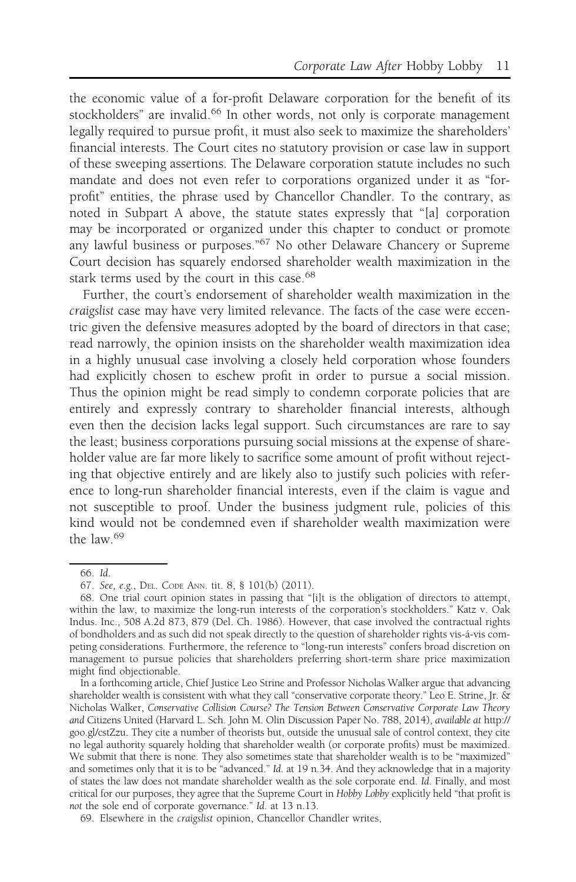the economic value of a for-profit Delaware corporation for the benefit of its stockholders" are invalid.<sup>66</sup> In other words, not only is corporate management legally required to pursue profit, it must also seek to maximize the shareholders' financial interests. The Court cites no statutory provision or case law in support of these sweeping assertions. The Delaware corporation statute includes no such mandate and does not even refer to corporations organized under it as "forprofit" entities, the phrase used by Chancellor Chandler. To the contrary, as noted in Subpart A above, the statute states expressly that "[a] corporation may be incorporated or organized under this chapter to conduct or promote any lawful business or purposes."67 No other Delaware Chancery or Supreme Court decision has squarely endorsed shareholder wealth maximization in the stark terms used by the court in this case.<sup>68</sup>

Further, the court's endorsement of shareholder wealth maximization in the craigslist case may have very limited relevance. The facts of the case were eccentric given the defensive measures adopted by the board of directors in that case; read narrowly, the opinion insists on the shareholder wealth maximization idea in a highly unusual case involving a closely held corporation whose founders had explicitly chosen to eschew profit in order to pursue a social mission. Thus the opinion might be read simply to condemn corporate policies that are entirely and expressly contrary to shareholder financial interests, although even then the decision lacks legal support. Such circumstances are rare to say the least; business corporations pursuing social missions at the expense of shareholder value are far more likely to sacrifice some amount of profit without rejecting that objective entirely and are likely also to justify such policies with reference to long-run shareholder financial interests, even if the claim is vague and not susceptible to proof. Under the business judgment rule, policies of this kind would not be condemned even if shareholder wealth maximization were the law.<sup>69</sup>

<sup>66.</sup> Id.

<sup>67.</sup> See, e.g., DEL. CODE ANN. tit. 8, § 101(b) (2011).

<sup>68.</sup> One trial court opinion states in passing that "[i]t is the obligation of directors to attempt, within the law, to maximize the long-run interests of the corporation's stockholders." Katz v. Oak Indus. Inc., 508 A.2d 873, 879 (Del. Ch. 1986). However, that case involved the contractual rights of bondholders and as such did not speak directly to the question of shareholder rights vis-á-vis competing considerations. Furthermore, the reference to "long-run interests" confers broad discretion on management to pursue policies that shareholders preferring short-term share price maximization might find objectionable.

In a forthcoming article, Chief Justice Leo Strine and Professor Nicholas Walker argue that advancing shareholder wealth is consistent with what they call "conservative corporate theory." Leo E. Strine, Jr. & Nicholas Walker, Conservative Collision Course? The Tension Between Conservative Corporate Law Theory and Citizens United (Harvard L. Sch. John M. Olin Discussion Paper No. 788, 2014), available at http:// goo.gl/cstZzu. They cite a number of theorists but, outside the unusual sale of control context, they cite no legal authority squarely holding that shareholder wealth (or corporate profits) must be maximized. We submit that there is none. They also sometimes state that shareholder wealth is to be "maximized" and sometimes only that it is to be "advanced." Id. at 19 n.34. And they acknowledge that in a majority of states the law does not mandate shareholder wealth as the sole corporate end. Id. Finally, and most critical for our purposes, they agree that the Supreme Court in Hobby Lobby explicitly held "that profit is not the sole end of corporate governance." Id. at 13 n.13.

<sup>69.</sup> Elsewhere in the craigslist opinion, Chancellor Chandler writes,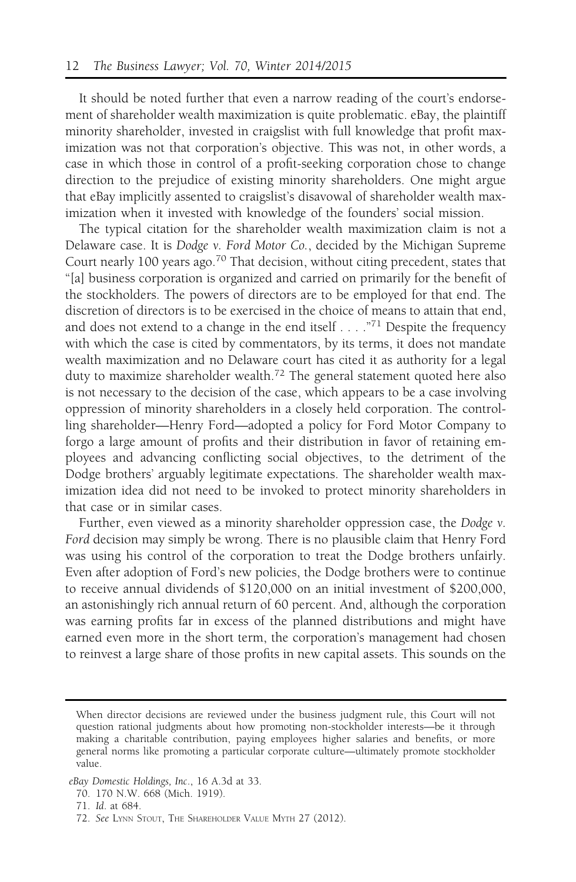It should be noted further that even a narrow reading of the court's endorsement of shareholder wealth maximization is quite problematic. eBay, the plaintiff minority shareholder, invested in craigslist with full knowledge that profit maximization was not that corporation's objective. This was not, in other words, a case in which those in control of a profit-seeking corporation chose to change direction to the prejudice of existing minority shareholders. One might argue that eBay implicitly assented to craigslist's disavowal of shareholder wealth maximization when it invested with knowledge of the founders' social mission.

The typical citation for the shareholder wealth maximization claim is not a Delaware case. It is Dodge v. Ford Motor Co., decided by the Michigan Supreme Court nearly 100 years ago.<sup>70</sup> That decision, without citing precedent, states that "[a] business corporation is organized and carried on primarily for the benefit of the stockholders. The powers of directors are to be employed for that end. The discretion of directors is to be exercised in the choice of means to attain that end, and does not extend to a change in the end itself  $\dots$ ."<sup>71</sup> Despite the frequency with which the case is cited by commentators, by its terms, it does not mandate wealth maximization and no Delaware court has cited it as authority for a legal duty to maximize shareholder wealth.<sup>72</sup> The general statement quoted here also is not necessary to the decision of the case, which appears to be a case involving oppression of minority shareholders in a closely held corporation. The controlling shareholder—Henry Ford—adopted a policy for Ford Motor Company to forgo a large amount of profits and their distribution in favor of retaining employees and advancing conflicting social objectives, to the detriment of the Dodge brothers' arguably legitimate expectations. The shareholder wealth maximization idea did not need to be invoked to protect minority shareholders in that case or in similar cases.

Further, even viewed as a minority shareholder oppression case, the Dodge v. Ford decision may simply be wrong. There is no plausible claim that Henry Ford was using his control of the corporation to treat the Dodge brothers unfairly. Even after adoption of Ford's new policies, the Dodge brothers were to continue to receive annual dividends of \$120,000 on an initial investment of \$200,000, an astonishingly rich annual return of 60 percent. And, although the corporation was earning profits far in excess of the planned distributions and might have earned even more in the short term, the corporation's management had chosen to reinvest a large share of those profits in new capital assets. This sounds on the

When director decisions are reviewed under the business judgment rule, this Court will not question rational judgments about how promoting non-stockholder interests—be it through making a charitable contribution, paying employees higher salaries and benefits, or more general norms like promoting a particular corporate culture—ultimately promote stockholder value.

eBay Domestic Holdings, Inc., 16 A.3d at 33.

<sup>70. 170</sup> N.W. 668 (Mich. 1919).

<sup>71.</sup> Id. at 684.

<sup>72.</sup> See LYNN STOUT, THE SHAREHOLDER VALUE MYTH 27 (2012).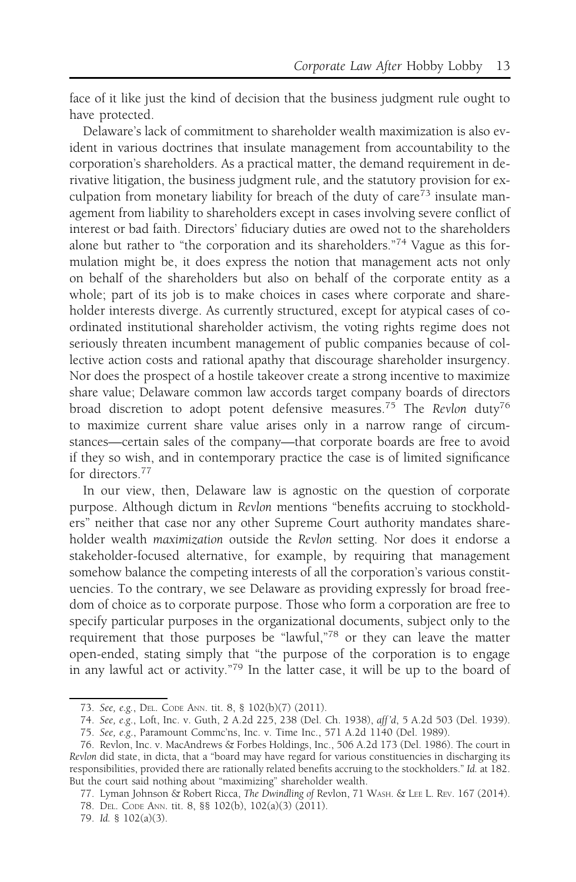face of it like just the kind of decision that the business judgment rule ought to have protected.

Delaware's lack of commitment to shareholder wealth maximization is also evident in various doctrines that insulate management from accountability to the corporation's shareholders. As a practical matter, the demand requirement in derivative litigation, the business judgment rule, and the statutory provision for exculpation from monetary liability for breach of the duty of care<sup> $73$ </sup> insulate management from liability to shareholders except in cases involving severe conflict of interest or bad faith. Directors' fiduciary duties are owed not to the shareholders alone but rather to "the corporation and its shareholders."<sup>74</sup> Vague as this formulation might be, it does express the notion that management acts not only on behalf of the shareholders but also on behalf of the corporate entity as a whole; part of its job is to make choices in cases where corporate and shareholder interests diverge. As currently structured, except for atypical cases of coordinated institutional shareholder activism, the voting rights regime does not seriously threaten incumbent management of public companies because of collective action costs and rational apathy that discourage shareholder insurgency. Nor does the prospect of a hostile takeover create a strong incentive to maximize share value; Delaware common law accords target company boards of directors broad discretion to adopt potent defensive measures.<sup>75</sup> The Revlon duty<sup>76</sup> to maximize current share value arises only in a narrow range of circumstances—certain sales of the company—that corporate boards are free to avoid if they so wish, and in contemporary practice the case is of limited significance for directors.<sup>77</sup>

In our view, then, Delaware law is agnostic on the question of corporate purpose. Although dictum in Revlon mentions "benefits accruing to stockholders" neither that case nor any other Supreme Court authority mandates shareholder wealth maximization outside the Revlon setting. Nor does it endorse a stakeholder-focused alternative, for example, by requiring that management somehow balance the competing interests of all the corporation's various constituencies. To the contrary, we see Delaware as providing expressly for broad freedom of choice as to corporate purpose. Those who form a corporation are free to specify particular purposes in the organizational documents, subject only to the requirement that those purposes be "lawful,"78 or they can leave the matter open-ended, stating simply that "the purpose of the corporation is to engage in any lawful act or activity."<sup>79</sup> In the latter case, it will be up to the board of

<sup>73.</sup> See, e.g., DEL. CODE ANN. tit. 8, § 102(b)(7) (2011).

<sup>74.</sup> See, e.g., Loft, Inc. v. Guth, 2 A.2d 225, 238 (Del. Ch. 1938), aff 'd, 5 A.2d 503 (Del. 1939).

<sup>75.</sup> See, e.g., Paramount Commc'ns, Inc. v. Time Inc., 571 A.2d 1140 (Del. 1989).

<sup>76.</sup> Revlon, Inc. v. MacAndrews & Forbes Holdings, Inc., 506 A.2d 173 (Del. 1986). The court in Revlon did state, in dicta, that a "board may have regard for various constituencies in discharging its responsibilities, provided there are rationally related benefits accruing to the stockholders." Id. at 182. But the court said nothing about "maximizing" shareholder wealth.

<sup>77.</sup> Lyman Johnson & Robert Ricca, The Dwindling of Revlon, 71 WASH. & LEE L. REV. 167 (2014). 78. DEL. CODE ANN. tit. 8, §§ 102(b), 102(a)(3) (2011).

<sup>79.</sup> Id. § 102(a)(3).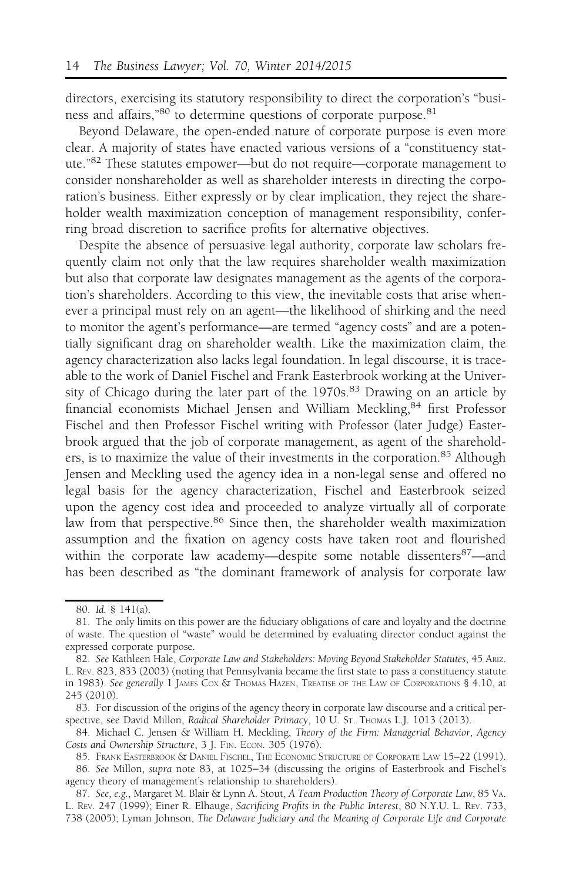directors, exercising its statutory responsibility to direct the corporation's "business and affairs,"<sup>80</sup> to determine questions of corporate purpose.<sup>81</sup>

Beyond Delaware, the open-ended nature of corporate purpose is even more clear. A majority of states have enacted various versions of a "constituency statute."<sup>82</sup> These statutes empower—but do not require—corporate management to consider nonshareholder as well as shareholder interests in directing the corporation's business. Either expressly or by clear implication, they reject the shareholder wealth maximization conception of management responsibility, conferring broad discretion to sacrifice profits for alternative objectives.

Despite the absence of persuasive legal authority, corporate law scholars frequently claim not only that the law requires shareholder wealth maximization but also that corporate law designates management as the agents of the corporation's shareholders. According to this view, the inevitable costs that arise whenever a principal must rely on an agent—the likelihood of shirking and the need to monitor the agent's performance—are termed "agency costs" and are a potentially significant drag on shareholder wealth. Like the maximization claim, the agency characterization also lacks legal foundation. In legal discourse, it is traceable to the work of Daniel Fischel and Frank Easterbrook working at the University of Chicago during the later part of the  $1970s$ .<sup>83</sup> Drawing on an article by financial economists Michael Jensen and William Meckling,<sup>84</sup> first Professor Fischel and then Professor Fischel writing with Professor (later Judge) Easterbrook argued that the job of corporate management, as agent of the shareholders, is to maximize the value of their investments in the corporation.<sup>85</sup> Although Jensen and Meckling used the agency idea in a non-legal sense and offered no legal basis for the agency characterization, Fischel and Easterbrook seized upon the agency cost idea and proceeded to analyze virtually all of corporate law from that perspective.<sup>86</sup> Since then, the shareholder wealth maximization assumption and the fixation on agency costs have taken root and flourished within the corporate law academy—despite some notable dissenters<sup>87</sup>—and has been described as "the dominant framework of analysis for corporate law

<sup>80.</sup> Id. § 141(a).

<sup>81.</sup> The only limits on this power are the fiduciary obligations of care and loyalty and the doctrine of waste. The question of "waste" would be determined by evaluating director conduct against the expressed corporate purpose.

<sup>82.</sup> See Kathleen Hale, Corporate Law and Stakeholders: Moving Beyond Stakeholder Statutes, 45 ARIZ. L. REV. 823, 833 (2003) (noting that Pennsylvania became the first state to pass a constituency statute in 1983). See generally 1 JAMES COX & THOMAS HAZEN, TREATISE OF THE LAW OF CORPORATIONS § 4.10, at 245 (2010).

<sup>83.</sup> For discussion of the origins of the agency theory in corporate law discourse and a critical perspective, see David Millon, Radical Shareholder Primacy, 10 U. St. THOMAS L.J. 1013 (2013).

<sup>84.</sup> Michael C. Jensen & William H. Meckling, Theory of the Firm: Managerial Behavior, Agency Costs and Ownership Structure, 3 J. FIN. ECON. 305 (1976).

<sup>85.</sup> FRANK EASTERBROOK & DANIEL FISCHEL, THE ECONOMIC STRUCTURE OF CORPORATE LAW 15–22 (1991).

<sup>86.</sup> See Millon, supra note 83, at 1025−34 (discussing the origins of Easterbrook and Fischel's agency theory of management's relationship to shareholders).

<sup>87.</sup> See, e.g., Margaret M. Blair & Lynn A. Stout, A Team Production Theory of Corporate Law, 85 VA. L. REV. 247 (1999); Einer R. Elhauge, Sacrificing Profits in the Public Interest, 80 N.Y.U. L. REV. 733, 738 (2005); Lyman Johnson, The Delaware Judiciary and the Meaning of Corporate Life and Corporate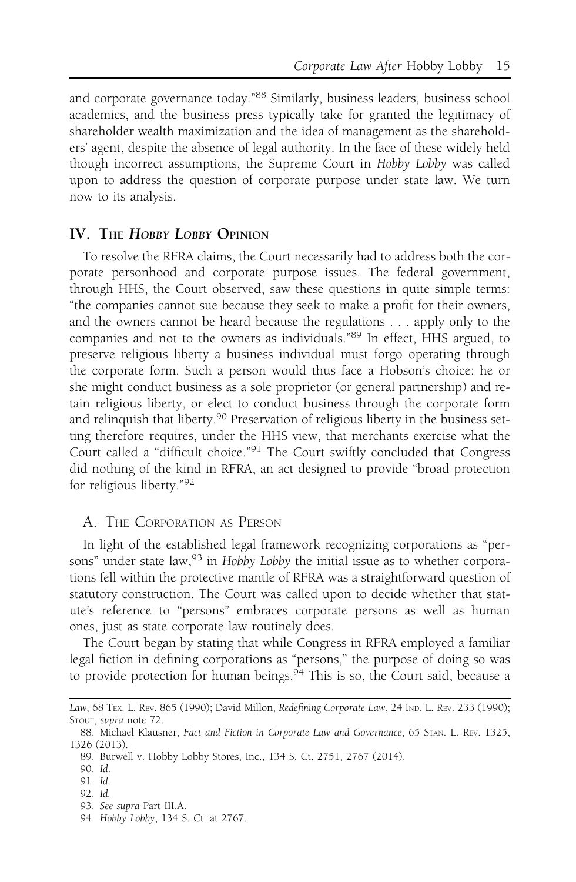and corporate governance today."<sup>88</sup> Similarly, business leaders, business school academics, and the business press typically take for granted the legitimacy of shareholder wealth maximization and the idea of management as the shareholders' agent, despite the absence of legal authority. In the face of these widely held though incorrect assumptions, the Supreme Court in Hobby Lobby was called upon to address the question of corporate purpose under state law. We turn now to its analysis.

#### IV. THE HOBBY LOBBY OPINION

To resolve the RFRA claims, the Court necessarily had to address both the corporate personhood and corporate purpose issues. The federal government, through HHS, the Court observed, saw these questions in quite simple terms: "the companies cannot sue because they seek to make a profit for their owners, and the owners cannot be heard because the regulations . . . apply only to the companies and not to the owners as individuals."<sup>89</sup> In effect, HHS argued, to preserve religious liberty a business individual must forgo operating through the corporate form. Such a person would thus face a Hobson's choice: he or she might conduct business as a sole proprietor (or general partnership) and retain religious liberty, or elect to conduct business through the corporate form and relinquish that liberty.<sup>90</sup> Preservation of religious liberty in the business setting therefore requires, under the HHS view, that merchants exercise what the Court called a "difficult choice."<sup>91</sup> The Court swiftly concluded that Congress did nothing of the kind in RFRA, an act designed to provide "broad protection for religious liberty."92

#### A. THE CORPORATION AS PERSON

In light of the established legal framework recognizing corporations as "persons" under state law,  $93$  in Hobby Lobby the initial issue as to whether corporations fell within the protective mantle of RFRA was a straightforward question of statutory construction. The Court was called upon to decide whether that statute's reference to "persons" embraces corporate persons as well as human ones, just as state corporate law routinely does.

The Court began by stating that while Congress in RFRA employed a familiar legal fiction in defining corporations as "persons," the purpose of doing so was to provide protection for human beings. $94$  This is so, the Court said, because a

94. Hobby Lobby, 134 S. Ct. at 2767.

Law, 68 TEx. L. REV. 865 (1990); David Millon, Redefining Corporate Law, 24 IND. L. REV. 233 (1990); STOUT, supra note 72.

<sup>88.</sup> Michael Klausner, Fact and Fiction in Corporate Law and Governance, 65 STAN. L. REV. 1325, 1326 (2013).

<sup>89.</sup> Burwell v. Hobby Lobby Stores, Inc., 134 S. Ct. 2751, 2767 (2014).

<sup>90.</sup> Id.

<sup>91.</sup> Id.

<sup>92.</sup> Id.

<sup>93.</sup> See supra Part III.A.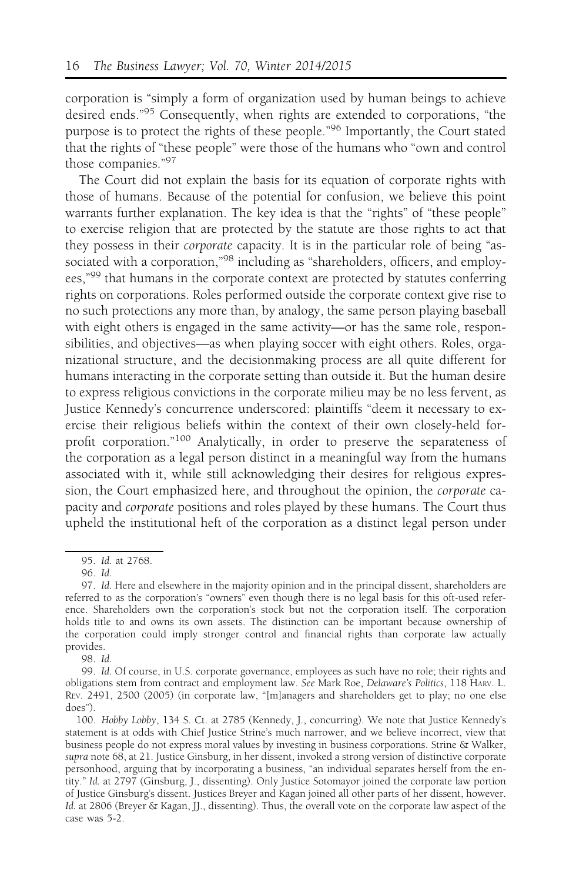corporation is "simply a form of organization used by human beings to achieve desired ends."<sup>95</sup> Consequently, when rights are extended to corporations, "the purpose is to protect the rights of these people."<sup>96</sup> Importantly, the Court stated that the rights of "these people" were those of the humans who "own and control those companies."<sup>97</sup>

The Court did not explain the basis for its equation of corporate rights with those of humans. Because of the potential for confusion, we believe this point warrants further explanation. The key idea is that the "rights" of "these people" to exercise religion that are protected by the statute are those rights to act that they possess in their corporate capacity. It is in the particular role of being "associated with a corporation,"<sup>98</sup> including as "shareholders, officers, and employees,"99 that humans in the corporate context are protected by statutes conferring rights on corporations. Roles performed outside the corporate context give rise to no such protections any more than, by analogy, the same person playing baseball with eight others is engaged in the same activity—or has the same role, responsibilities, and objectives—as when playing soccer with eight others. Roles, organizational structure, and the decisionmaking process are all quite different for humans interacting in the corporate setting than outside it. But the human desire to express religious convictions in the corporate milieu may be no less fervent, as Justice Kennedy's concurrence underscored: plaintiffs "deem it necessary to exercise their religious beliefs within the context of their own closely-held forprofit corporation."<sup>100</sup> Analytically, in order to preserve the separateness of the corporation as a legal person distinct in a meaningful way from the humans associated with it, while still acknowledging their desires for religious expression, the Court emphasized here, and throughout the opinion, the corporate capacity and corporate positions and roles played by these humans. The Court thus upheld the institutional heft of the corporation as a distinct legal person under

98. Id.

<sup>95.</sup> Id. at 2768.

<sup>96.</sup> Id.

<sup>97.</sup> Id. Here and elsewhere in the majority opinion and in the principal dissent, shareholders are referred to as the corporation's "owners" even though there is no legal basis for this oft-used reference. Shareholders own the corporation's stock but not the corporation itself. The corporation holds title to and owns its own assets. The distinction can be important because ownership of the corporation could imply stronger control and financial rights than corporate law actually provides.

<sup>99.</sup> Id. Of course, in U.S. corporate governance, employees as such have no role; their rights and obligations stem from contract and employment law. See Mark Roe, Delaware's Politics, 118 HARV. L. REV. 2491, 2500 (2005) (in corporate law, "[m]anagers and shareholders get to play; no one else does").

<sup>100.</sup> Hobby Lobby, 134 S. Ct. at 2785 (Kennedy, J., concurring). We note that Justice Kennedy's statement is at odds with Chief Justice Strine's much narrower, and we believe incorrect, view that business people do not express moral values by investing in business corporations. Strine & Walker, supra note 68, at 21. Justice Ginsburg, in her dissent, invoked a strong version of distinctive corporate personhood, arguing that by incorporating a business, "an individual separates herself from the entity." Id. at 2797 (Ginsburg, J., dissenting). Only Justice Sotomayor joined the corporate law portion of Justice Ginsburg's dissent. Justices Breyer and Kagan joined all other parts of her dissent, however. Id. at 2806 (Breyer & Kagan, JJ., dissenting). Thus, the overall vote on the corporate law aspect of the case was 5-2.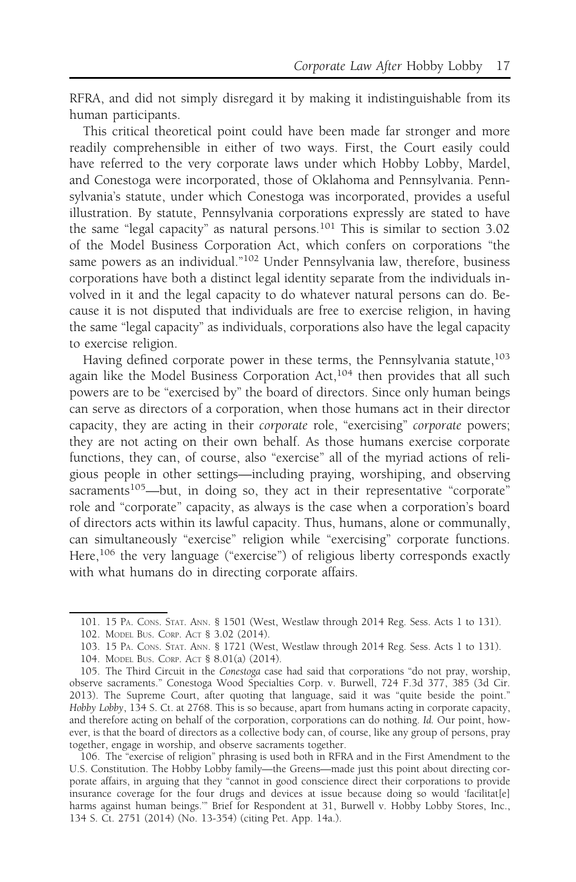RFRA, and did not simply disregard it by making it indistinguishable from its human participants.

This critical theoretical point could have been made far stronger and more readily comprehensible in either of two ways. First, the Court easily could have referred to the very corporate laws under which Hobby Lobby, Mardel, and Conestoga were incorporated, those of Oklahoma and Pennsylvania. Pennsylvania's statute, under which Conestoga was incorporated, provides a useful illustration. By statute, Pennsylvania corporations expressly are stated to have the same "legal capacity" as natural persons.<sup>101</sup> This is similar to section 3.02 of the Model Business Corporation Act, which confers on corporations "the same powers as an individual."<sup>102</sup> Under Pennsylvania law, therefore, business corporations have both a distinct legal identity separate from the individuals involved in it and the legal capacity to do whatever natural persons can do. Because it is not disputed that individuals are free to exercise religion, in having the same "legal capacity" as individuals, corporations also have the legal capacity to exercise religion.

Having defined corporate power in these terms, the Pennsylvania statute,  $^{103}$ again like the Model Business Corporation Act,<sup>104</sup> then provides that all such powers are to be "exercised by" the board of directors. Since only human beings can serve as directors of a corporation, when those humans act in their director capacity, they are acting in their corporate role, "exercising" corporate powers; they are not acting on their own behalf. As those humans exercise corporate functions, they can, of course, also "exercise" all of the myriad actions of religious people in other settings—including praying, worshiping, and observing sacraments<sup>105</sup>—but, in doing so, they act in their representative "corporate" role and "corporate" capacity, as always is the case when a corporation's board of directors acts within its lawful capacity. Thus, humans, alone or communally, can simultaneously "exercise" religion while "exercising" corporate functions. Here,<sup>106</sup> the very language ("exercise") of religious liberty corresponds exactly with what humans do in directing corporate affairs.

106. The "exercise of religion" phrasing is used both in RFRA and in the First Amendment to the U.S. Constitution. The Hobby Lobby family—the Greens—made just this point about directing corporate affairs, in arguing that they "cannot in good conscience direct their corporations to provide insurance coverage for the four drugs and devices at issue because doing so would 'facilitat[e] harms against human beings.'" Brief for Respondent at 31, Burwell v. Hobby Lobby Stores, Inc., 134 S. Ct. 2751 (2014) (No. 13-354) (citing Pet. App. 14a.).

<sup>101. 15</sup> PA. CONS. STAT. ANN. § 1501 (West, Westlaw through 2014 Reg. Sess. Acts 1 to 131).

<sup>102.</sup> MODEL BUS. CORP. ACT § 3.02 (2014).

<sup>103. 15</sup> PA. CONS. STAT. ANN. § 1721 (West, Westlaw through 2014 Reg. Sess. Acts 1 to 131).

<sup>104.</sup> MODEL BUS. CORP. ACT § 8.01(a) (2014).

<sup>105.</sup> The Third Circuit in the Conestoga case had said that corporations "do not pray, worship, observe sacraments." Conestoga Wood Specialties Corp. v. Burwell, 724 F.3d 377, 385 (3d Cir. 2013). The Supreme Court, after quoting that language, said it was "quite beside the point." Hobby Lobby, 134 S. Ct. at 2768. This is so because, apart from humans acting in corporate capacity, and therefore acting on behalf of the corporation, corporations can do nothing. Id. Our point, however, is that the board of directors as a collective body can, of course, like any group of persons, pray together, engage in worship, and observe sacraments together.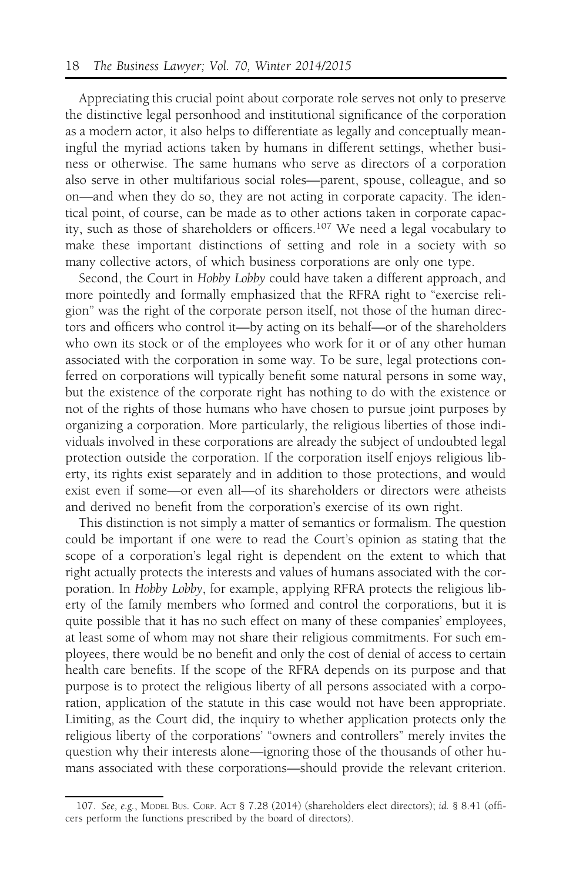Appreciating this crucial point about corporate role serves not only to preserve the distinctive legal personhood and institutional significance of the corporation as a modern actor, it also helps to differentiate as legally and conceptually meaningful the myriad actions taken by humans in different settings, whether business or otherwise. The same humans who serve as directors of a corporation also serve in other multifarious social roles—parent, spouse, colleague, and so on—and when they do so, they are not acting in corporate capacity. The identical point, of course, can be made as to other actions taken in corporate capacity, such as those of shareholders or officers.<sup>107</sup> We need a legal vocabulary to make these important distinctions of setting and role in a society with so many collective actors, of which business corporations are only one type.

Second, the Court in Hobby Lobby could have taken a different approach, and more pointedly and formally emphasized that the RFRA right to "exercise religion" was the right of the corporate person itself, not those of the human directors and officers who control it—by acting on its behalf—or of the shareholders who own its stock or of the employees who work for it or of any other human associated with the corporation in some way. To be sure, legal protections conferred on corporations will typically benefit some natural persons in some way, but the existence of the corporate right has nothing to do with the existence or not of the rights of those humans who have chosen to pursue joint purposes by organizing a corporation. More particularly, the religious liberties of those individuals involved in these corporations are already the subject of undoubted legal protection outside the corporation. If the corporation itself enjoys religious liberty, its rights exist separately and in addition to those protections, and would exist even if some—or even all—of its shareholders or directors were atheists and derived no benefit from the corporation's exercise of its own right.

This distinction is not simply a matter of semantics or formalism. The question could be important if one were to read the Court's opinion as stating that the scope of a corporation's legal right is dependent on the extent to which that right actually protects the interests and values of humans associated with the corporation. In Hobby Lobby, for example, applying RFRA protects the religious liberty of the family members who formed and control the corporations, but it is quite possible that it has no such effect on many of these companies' employees, at least some of whom may not share their religious commitments. For such employees, there would be no benefit and only the cost of denial of access to certain health care benefits. If the scope of the RFRA depends on its purpose and that purpose is to protect the religious liberty of all persons associated with a corporation, application of the statute in this case would not have been appropriate. Limiting, as the Court did, the inquiry to whether application protects only the religious liberty of the corporations' "owners and controllers" merely invites the question why their interests alone—ignoring those of the thousands of other humans associated with these corporations—should provide the relevant criterion.

<sup>107.</sup> See, e.g., MODEL BUS. CORP. ACT § 7.28 (2014) (shareholders elect directors); id. § 8.41 (officers perform the functions prescribed by the board of directors).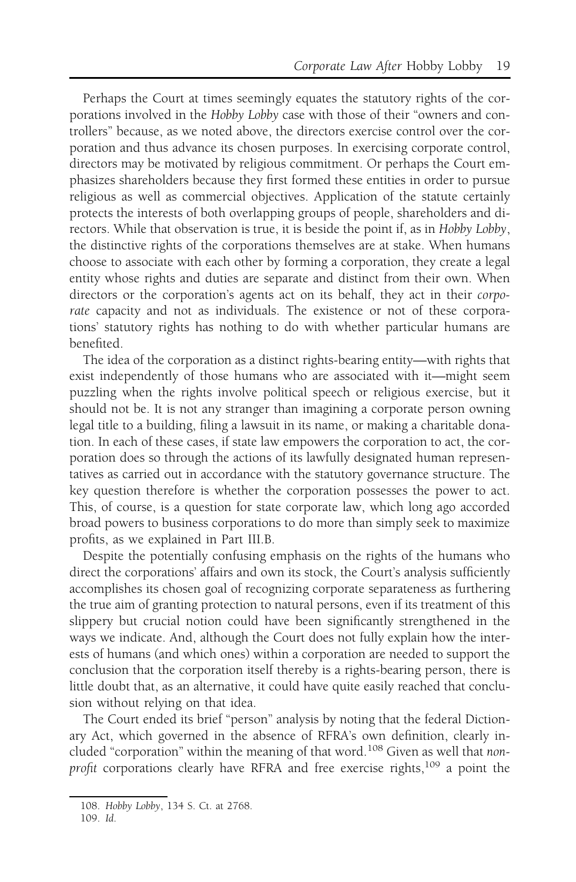Perhaps the Court at times seemingly equates the statutory rights of the corporations involved in the Hobby Lobby case with those of their "owners and controllers" because, as we noted above, the directors exercise control over the corporation and thus advance its chosen purposes. In exercising corporate control, directors may be motivated by religious commitment. Or perhaps the Court emphasizes shareholders because they first formed these entities in order to pursue religious as well as commercial objectives. Application of the statute certainly protects the interests of both overlapping groups of people, shareholders and directors. While that observation is true, it is beside the point if, as in Hobby Lobby, the distinctive rights of the corporations themselves are at stake. When humans choose to associate with each other by forming a corporation, they create a legal entity whose rights and duties are separate and distinct from their own. When directors or the corporation's agents act on its behalf, they act in their corporate capacity and not as individuals. The existence or not of these corporations' statutory rights has nothing to do with whether particular humans are benefited.

The idea of the corporation as a distinct rights-bearing entity—with rights that exist independently of those humans who are associated with it—might seem puzzling when the rights involve political speech or religious exercise, but it should not be. It is not any stranger than imagining a corporate person owning legal title to a building, filing a lawsuit in its name, or making a charitable donation. In each of these cases, if state law empowers the corporation to act, the corporation does so through the actions of its lawfully designated human representatives as carried out in accordance with the statutory governance structure. The key question therefore is whether the corporation possesses the power to act. This, of course, is a question for state corporate law, which long ago accorded broad powers to business corporations to do more than simply seek to maximize profits, as we explained in Part III.B.

Despite the potentially confusing emphasis on the rights of the humans who direct the corporations' affairs and own its stock, the Court's analysis sufficiently accomplishes its chosen goal of recognizing corporate separateness as furthering the true aim of granting protection to natural persons, even if its treatment of this slippery but crucial notion could have been significantly strengthened in the ways we indicate. And, although the Court does not fully explain how the interests of humans (and which ones) within a corporation are needed to support the conclusion that the corporation itself thereby is a rights-bearing person, there is little doubt that, as an alternative, it could have quite easily reached that conclusion without relying on that idea.

The Court ended its brief "person" analysis by noting that the federal Dictionary Act, which governed in the absence of RFRA's own definition, clearly included "corporation" within the meaning of that word.<sup>108</sup> Given as well that nonprofit corporations clearly have RFRA and free exercise rights,<sup>109</sup> a point the

<sup>108.</sup> Hobby Lobby, 134 S. Ct. at 2768.

<sup>109.</sup> Id.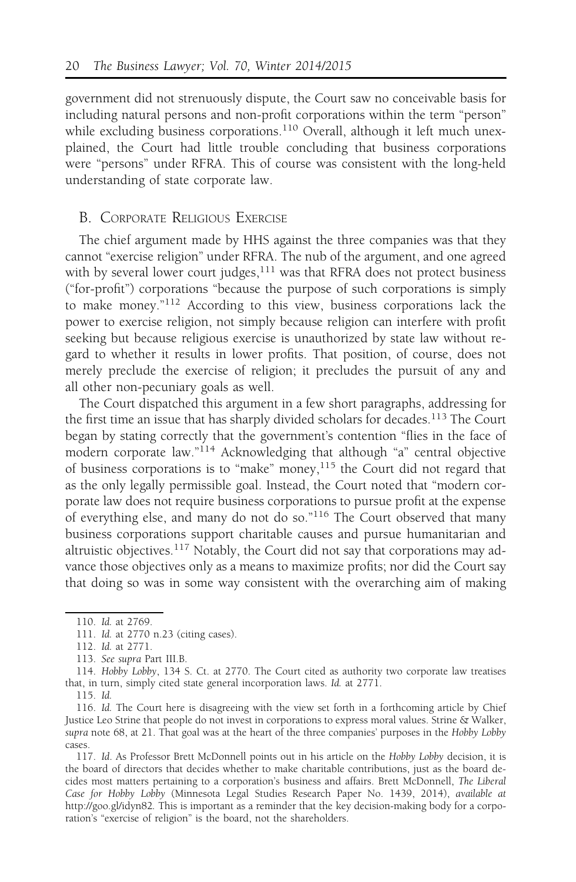government did not strenuously dispute, the Court saw no conceivable basis for including natural persons and non-profit corporations within the term "person" while excluding business corporations.<sup>110</sup> Overall, although it left much unexplained, the Court had little trouble concluding that business corporations were "persons" under RFRA. This of course was consistent with the long-held understanding of state corporate law.

#### B. CORPORATE RELIGIOUS EXERCISE

The chief argument made by HHS against the three companies was that they cannot "exercise religion" under RFRA. The nub of the argument, and one agreed with by several lower court judges, $^{111}$  was that RFRA does not protect business ("for-profit") corporations "because the purpose of such corporations is simply to make money."<sup>112</sup> According to this view, business corporations lack the power to exercise religion, not simply because religion can interfere with profit seeking but because religious exercise is unauthorized by state law without regard to whether it results in lower profits. That position, of course, does not merely preclude the exercise of religion; it precludes the pursuit of any and all other non-pecuniary goals as well.

The Court dispatched this argument in a few short paragraphs, addressing for the first time an issue that has sharply divided scholars for decades.<sup>113</sup> The Court began by stating correctly that the government's contention "flies in the face of modern corporate law."<sup>114</sup> Acknowledging that although "a" central objective of business corporations is to "make" money, $115$  the Court did not regard that as the only legally permissible goal. Instead, the Court noted that "modern corporate law does not require business corporations to pursue profit at the expense of everything else, and many do not do so."<sup>116</sup> The Court observed that many business corporations support charitable causes and pursue humanitarian and altruistic objectives.<sup>117</sup> Notably, the Court did not say that corporations may advance those objectives only as a means to maximize profits; nor did the Court say that doing so was in some way consistent with the overarching aim of making

115. Id.

117. Id. As Professor Brett McDonnell points out in his article on the Hobby Lobby decision, it is the board of directors that decides whether to make charitable contributions, just as the board decides most matters pertaining to a corporation's business and affairs. Brett McDonnell, The Liberal Case for Hobby Lobby (Minnesota Legal Studies Research Paper No. 1439, 2014), available at http://goo.gl/idyn82. This is important as a reminder that the key decision-making body for a corporation's "exercise of religion" is the board, not the shareholders.

<sup>110.</sup> Id. at 2769.

<sup>111.</sup> Id. at 2770 n.23 (citing cases).

<sup>112.</sup> Id. at 2771.

<sup>113.</sup> See supra Part III.B.

<sup>114.</sup> Hobby Lobby, 134 S. Ct. at 2770. The Court cited as authority two corporate law treatises that, in turn, simply cited state general incorporation laws. Id. at 2771.

<sup>116.</sup> Id. The Court here is disagreeing with the view set forth in a forthcoming article by Chief Justice Leo Strine that people do not invest in corporations to express moral values. Strine & Walker, supra note 68, at 21. That goal was at the heart of the three companies' purposes in the Hobby Lobby cases.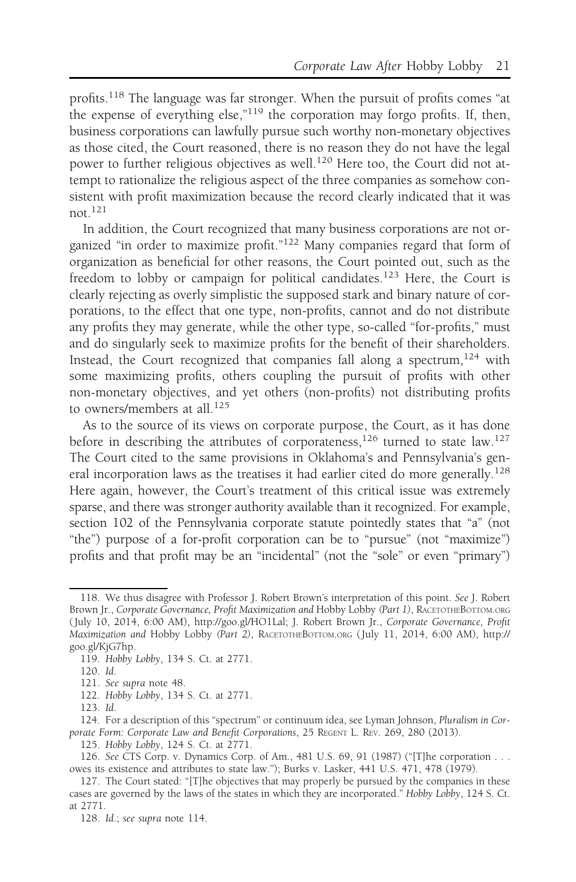profits.<sup>118</sup> The language was far stronger. When the pursuit of profits comes "at the expense of everything else,"<sup>119</sup> the corporation may forgo profits. If, then, business corporations can lawfully pursue such worthy non-monetary objectives as those cited, the Court reasoned, there is no reason they do not have the legal power to further religious objectives as well.<sup>120</sup> Here too, the Court did not attempt to rationalize the religious aspect of the three companies as somehow consistent with profit maximization because the record clearly indicated that it was not.<sup>121</sup>

In addition, the Court recognized that many business corporations are not organized "in order to maximize profit."<sup>122</sup> Many companies regard that form of organization as beneficial for other reasons, the Court pointed out, such as the freedom to lobby or campaign for political candidates.<sup>123</sup> Here, the Court is clearly rejecting as overly simplistic the supposed stark and binary nature of corporations, to the effect that one type, non-profits, cannot and do not distribute any profits they may generate, while the other type, so-called "for-profits," must and do singularly seek to maximize profits for the benefit of their shareholders. Instead, the Court recognized that companies fall along a spectrum,  $124$  with some maximizing profits, others coupling the pursuit of profits with other non-monetary objectives, and yet others (non-profits) not distributing profits to owners/members at all.<sup>125</sup>

As to the source of its views on corporate purpose, the Court, as it has done before in describing the attributes of corporateness,<sup>126</sup> turned to state law.<sup>127</sup> The Court cited to the same provisions in Oklahoma's and Pennsylvania's general incorporation laws as the treatises it had earlier cited do more generally.<sup>128</sup> Here again, however, the Court's treatment of this critical issue was extremely sparse, and there was stronger authority available than it recognized. For example, section 102 of the Pennsylvania corporate statute pointedly states that "a" (not "the") purpose of a for-profit corporation can be to "pursue" (not "maximize") profits and that profit may be an "incidental" (not the "sole" or even "primary")

<sup>118.</sup> We thus disagree with Professor J. Robert Brown's interpretation of this point. See J. Robert Brown Jr., Corporate Governance, Profit Maximization and Hobby Lobby (Part 1), RACETOTHEBOTTOM.ORG ( July 10, 2014, 6:00 AM), http://goo.gl/HO1Lal; J. Robert Brown Jr., Corporate Governance, Profit Maximization and Hobby Lobby (Part 2), RACETOTHEBOTTOM.ORG ( July 11, 2014, 6:00 AM), http:// goo.gl/KjG7hp.

<sup>119.</sup> Hobby Lobby, 134 S. Ct. at 2771.

<sup>120.</sup> Id.

<sup>121.</sup> See supra note 48.

<sup>122.</sup> Hobby Lobby, 134 S. Ct. at 2771.

<sup>123.</sup> Id.

<sup>124.</sup> For a description of this "spectrum" or continuum idea, see Lyman Johnson, Pluralism in Corporate Form: Corporate Law and Benefit Corporations, 25 REGENT L. REV. 269, 280 (2013).

<sup>125.</sup> Hobby Lobby, 124 S. Ct. at 2771.

<sup>126.</sup> See CTS Corp. v. Dynamics Corp. of Am., 481 U.S. 69, 91 (1987) ("[T]he corporation . . . owes its existence and attributes to state law."); Burks v. Lasker, 441 U.S. 471, 478 (1979).

<sup>127.</sup> The Court stated: "[T]he objectives that may properly be pursued by the companies in these cases are governed by the laws of the states in which they are incorporated." Hobby Lobby, 124 S. Ct. at 2771.

<sup>128.</sup> Id.; see supra note 114.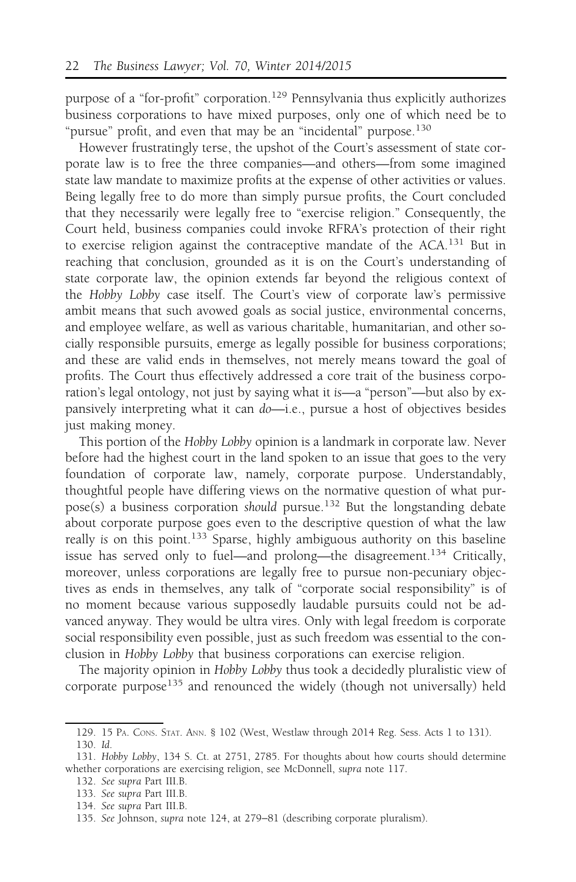purpose of a "for-profit" corporation.<sup>129</sup> Pennsylvania thus explicitly authorizes business corporations to have mixed purposes, only one of which need be to "pursue" profit, and even that may be an "incidental" purpose.<sup>130</sup>

However frustratingly terse, the upshot of the Court's assessment of state corporate law is to free the three companies—and others—from some imagined state law mandate to maximize profits at the expense of other activities or values. Being legally free to do more than simply pursue profits, the Court concluded that they necessarily were legally free to "exercise religion." Consequently, the Court held, business companies could invoke RFRA's protection of their right to exercise religion against the contraceptive mandate of the ACA.<sup>131</sup> But in reaching that conclusion, grounded as it is on the Court's understanding of state corporate law, the opinion extends far beyond the religious context of the Hobby Lobby case itself. The Court's view of corporate law's permissive ambit means that such avowed goals as social justice, environmental concerns, and employee welfare, as well as various charitable, humanitarian, and other socially responsible pursuits, emerge as legally possible for business corporations; and these are valid ends in themselves, not merely means toward the goal of profits. The Court thus effectively addressed a core trait of the business corporation's legal ontology, not just by saying what it is—a "person"—but also by expansively interpreting what it can do—i.e., pursue a host of objectives besides just making money.

This portion of the Hobby Lobby opinion is a landmark in corporate law. Never before had the highest court in the land spoken to an issue that goes to the very foundation of corporate law, namely, corporate purpose. Understandably, thoughtful people have differing views on the normative question of what purpose(s) a business corporation should pursue.<sup>132</sup> But the longstanding debate about corporate purpose goes even to the descriptive question of what the law really is on this point.<sup>133</sup> Sparse, highly ambiguous authority on this baseline issue has served only to fuel—and prolong—the disagreement.<sup>134</sup> Critically, moreover, unless corporations are legally free to pursue non-pecuniary objectives as ends in themselves, any talk of "corporate social responsibility" is of no moment because various supposedly laudable pursuits could not be advanced anyway. They would be ultra vires. Only with legal freedom is corporate social responsibility even possible, just as such freedom was essential to the conclusion in Hobby Lobby that business corporations can exercise religion.

The majority opinion in Hobby Lobby thus took a decidedly pluralistic view of corporate purpose<sup>135</sup> and renounced the widely (though not universally) held

<sup>129. 15</sup> PA. CONS. STAT. ANN. § 102 (West, Westlaw through 2014 Reg. Sess. Acts 1 to 131). 130. Id.

<sup>131.</sup> Hobby Lobby, 134 S. Ct. at 2751, 2785. For thoughts about how courts should determine whether corporations are exercising religion, see McDonnell, supra note 117.

<sup>132.</sup> See supra Part III.B.

<sup>133.</sup> See supra Part III.B.

<sup>134.</sup> See supra Part III.B.

<sup>135.</sup> See Johnson, supra note 124, at 279−81 (describing corporate pluralism).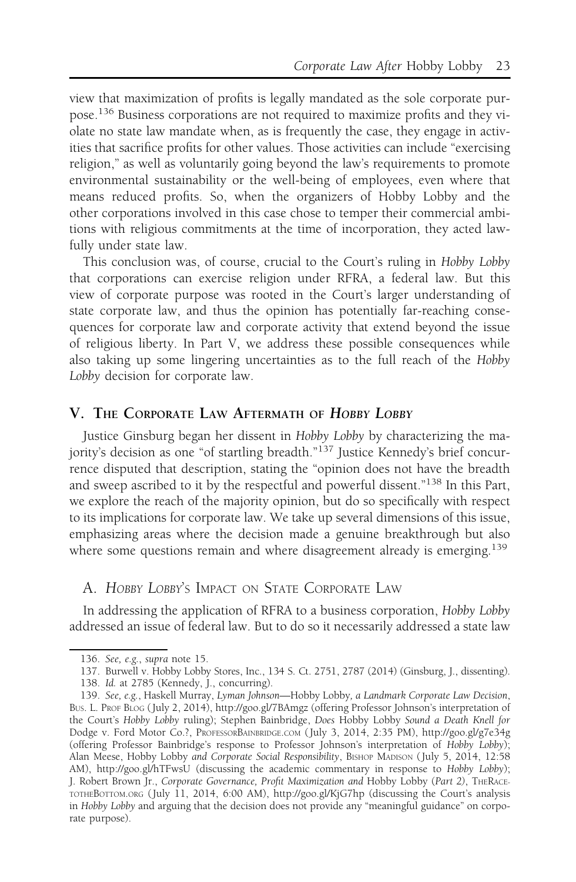view that maximization of profits is legally mandated as the sole corporate purpose.<sup>136</sup> Business corporations are not required to maximize profits and they violate no state law mandate when, as is frequently the case, they engage in activities that sacrifice profits for other values. Those activities can include "exercising religion," as well as voluntarily going beyond the law's requirements to promote environmental sustainability or the well-being of employees, even where that means reduced profits. So, when the organizers of Hobby Lobby and the other corporations involved in this case chose to temper their commercial ambitions with religious commitments at the time of incorporation, they acted lawfully under state law.

This conclusion was, of course, crucial to the Court's ruling in Hobby Lobby that corporations can exercise religion under RFRA, a federal law. But this view of corporate purpose was rooted in the Court's larger understanding of state corporate law, and thus the opinion has potentially far-reaching consequences for corporate law and corporate activity that extend beyond the issue of religious liberty. In Part V, we address these possible consequences while also taking up some lingering uncertainties as to the full reach of the Hobby Lobby decision for corporate law.

#### V. THE CORPORATE LAW AFTERMATH OF HOBBY LOBBY

Justice Ginsburg began her dissent in Hobby Lobby by characterizing the majority's decision as one "of startling breadth."<sup>137</sup> Justice Kennedy's brief concurrence disputed that description, stating the "opinion does not have the breadth and sweep ascribed to it by the respectful and powerful dissent."<sup>138</sup> In this Part, we explore the reach of the majority opinion, but do so specifically with respect to its implications for corporate law. We take up several dimensions of this issue, emphasizing areas where the decision made a genuine breakthrough but also where some questions remain and where disagreement already is emerging.<sup>139</sup>

A. HOBBY LOBBY'S IMPACT ON STATE CORPORATE LAW

In addressing the application of RFRA to a business corporation, Hobby Lobby addressed an issue of federal law. But to do so it necessarily addressed a state law

<sup>136.</sup> See, e.g., supra note 15.

<sup>137.</sup> Burwell v. Hobby Lobby Stores, Inc., 134 S. Ct. 2751, 2787 (2014) (Ginsburg, J., dissenting).

<sup>138.</sup> Id. at 2785 (Kennedy, J., concurring).

<sup>139.</sup> See, e.g., Haskell Murray, Lyman Johnson—Hobby Lobby, a Landmark Corporate Law Decision, BUS. L. PROF BLOG ( July 2, 2014), http://goo.gl/7BAmgz (offering Professor Johnson's interpretation of the Court's Hobby Lobby ruling); Stephen Bainbridge, Does Hobby Lobby Sound a Death Knell for Dodge v. Ford Motor Co.?, PROFESSORBAINBRIDGE.COM ( July 3, 2014, 2:35 PM), http://goo.gl/g7e34g (offering Professor Bainbridge's response to Professor Johnson's interpretation of Hobby Lobby); Alan Meese, Hobby Lobby and Corporate Social Responsibility, BISHOP MADISON ( July 5, 2014, 12:58 AM), http://goo.gl/hTFwsU (discussing the academic commentary in response to Hobby Lobby); J. Robert Brown Jr., Corporate Governance, Profit Maximization and Hobby Lobby (Part 2), THERACE-TOTHEBOTTOM.ORG ( July 11, 2014, 6:00 AM), http://goo.gl/KjG7hp (discussing the Court's analysis in Hobby Lobby and arguing that the decision does not provide any "meaningful guidance" on corporate purpose).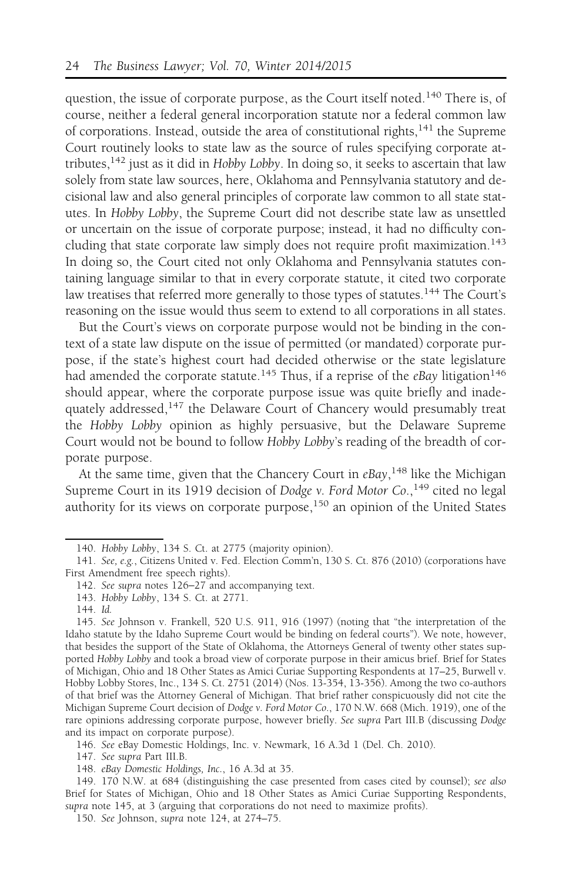question, the issue of corporate purpose, as the Court itself noted.<sup>140</sup> There is, of course, neither a federal general incorporation statute nor a federal common law of corporations. Instead, outside the area of constitutional rights, $141$  the Supreme Court routinely looks to state law as the source of rules specifying corporate attributes, $142$  just as it did in Hobby Lobby. In doing so, it seeks to ascertain that law solely from state law sources, here, Oklahoma and Pennsylvania statutory and decisional law and also general principles of corporate law common to all state statutes. In Hobby Lobby, the Supreme Court did not describe state law as unsettled or uncertain on the issue of corporate purpose; instead, it had no difficulty concluding that state corporate law simply does not require profit maximization.<sup>143</sup> In doing so, the Court cited not only Oklahoma and Pennsylvania statutes containing language similar to that in every corporate statute, it cited two corporate law treatises that referred more generally to those types of statutes.<sup>144</sup> The Court's reasoning on the issue would thus seem to extend to all corporations in all states.

But the Court's views on corporate purpose would not be binding in the context of a state law dispute on the issue of permitted (or mandated) corporate purpose, if the state's highest court had decided otherwise or the state legislature had amended the corporate statute.<sup>145</sup> Thus, if a reprise of the eBay litigation<sup>146</sup> should appear, where the corporate purpose issue was quite briefly and inadequately addressed,<sup>147</sup> the Delaware Court of Chancery would presumably treat the Hobby Lobby opinion as highly persuasive, but the Delaware Supreme Court would not be bound to follow Hobby Lobby's reading of the breadth of corporate purpose.

At the same time, given that the Chancery Court in eBay, <sup>148</sup> like the Michigan Supreme Court in its 1919 decision of Dodge v. Ford Motor Co., <sup>149</sup> cited no legal authority for its views on corporate purpose,<sup>150</sup> an opinion of the United States

<sup>140.</sup> Hobby Lobby, 134 S. Ct. at 2775 (majority opinion).

<sup>141.</sup> See, e.g., Citizens United v. Fed. Election Comm'n, 130 S. Ct. 876 (2010) (corporations have First Amendment free speech rights).

<sup>142.</sup> See supra notes 126−27 and accompanying text.

<sup>143.</sup> Hobby Lobby, 134 S. Ct. at 2771.

<sup>144.</sup> Id.

<sup>145.</sup> See Johnson v. Frankell, 520 U.S. 911, 916 (1997) (noting that "the interpretation of the Idaho statute by the Idaho Supreme Court would be binding on federal courts"). We note, however, that besides the support of the State of Oklahoma, the Attorneys General of twenty other states supported Hobby Lobby and took a broad view of corporate purpose in their amicus brief. Brief for States of Michigan, Ohio and 18 Other States as Amici Curiae Supporting Respondents at 17–25, Burwell v. Hobby Lobby Stores, Inc., 134 S. Ct. 2751 (2014) (Nos. 13-354, 13-356). Among the two co-authors of that brief was the Attorney General of Michigan. That brief rather conspicuously did not cite the Michigan Supreme Court decision of Dodge v. Ford Motor Co., 170 N.W. 668 (Mich. 1919), one of the rare opinions addressing corporate purpose, however briefly. See supra Part III.B (discussing Dodge and its impact on corporate purpose).

<sup>146.</sup> See eBay Domestic Holdings, Inc. v. Newmark, 16 A.3d 1 (Del. Ch. 2010).

<sup>147.</sup> See supra Part III.B.

<sup>148.</sup> eBay Domestic Holdings, Inc., 16 A.3d at 35.

<sup>149. 170</sup> N.W. at 684 (distinguishing the case presented from cases cited by counsel); see also Brief for States of Michigan, Ohio and 18 Other States as Amici Curiae Supporting Respondents, supra note 145, at 3 (arguing that corporations do not need to maximize profits).

<sup>150.</sup> See Johnson, supra note 124, at 274–75.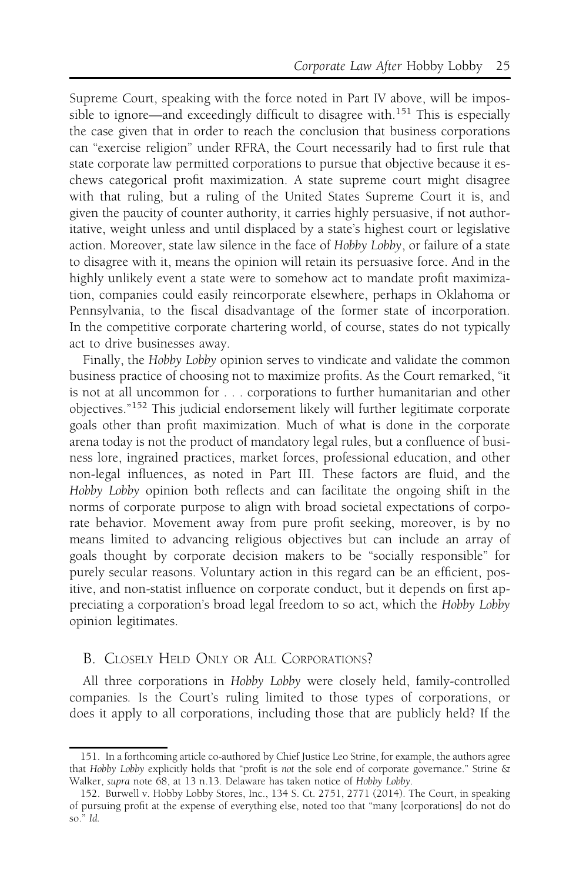Supreme Court, speaking with the force noted in Part IV above, will be impossible to ignore—and exceedingly difficult to disagree with.<sup>151</sup> This is especially the case given that in order to reach the conclusion that business corporations can "exercise religion" under RFRA, the Court necessarily had to first rule that state corporate law permitted corporations to pursue that objective because it eschews categorical profit maximization. A state supreme court might disagree with that ruling, but a ruling of the United States Supreme Court it is, and given the paucity of counter authority, it carries highly persuasive, if not authoritative, weight unless and until displaced by a state's highest court or legislative action. Moreover, state law silence in the face of Hobby Lobby, or failure of a state to disagree with it, means the opinion will retain its persuasive force. And in the highly unlikely event a state were to somehow act to mandate profit maximization, companies could easily reincorporate elsewhere, perhaps in Oklahoma or Pennsylvania, to the fiscal disadvantage of the former state of incorporation. In the competitive corporate chartering world, of course, states do not typically act to drive businesses away.

Finally, the Hobby Lobby opinion serves to vindicate and validate the common business practice of choosing not to maximize profits. As the Court remarked, "it is not at all uncommon for . . . corporations to further humanitarian and other objectives."<sup>152</sup> This judicial endorsement likely will further legitimate corporate goals other than profit maximization. Much of what is done in the corporate arena today is not the product of mandatory legal rules, but a confluence of business lore, ingrained practices, market forces, professional education, and other non-legal influences, as noted in Part III. These factors are fluid, and the Hobby Lobby opinion both reflects and can facilitate the ongoing shift in the norms of corporate purpose to align with broad societal expectations of corporate behavior. Movement away from pure profit seeking, moreover, is by no means limited to advancing religious objectives but can include an array of goals thought by corporate decision makers to be "socially responsible" for purely secular reasons. Voluntary action in this regard can be an efficient, positive, and non-statist influence on corporate conduct, but it depends on first appreciating a corporation's broad legal freedom to so act, which the Hobby Lobby opinion legitimates.

#### B. CLOSELY HELD ONLY OR ALL CORPORATIONS?

All three corporations in Hobby Lobby were closely held, family-controlled companies. Is the Court's ruling limited to those types of corporations, or does it apply to all corporations, including those that are publicly held? If the

<sup>151.</sup> In a forthcoming article co-authored by Chief Justice Leo Strine, for example, the authors agree that Hobby Lobby explicitly holds that "profit is not the sole end of corporate governance." Strine & Walker, supra note 68, at 13 n.13. Delaware has taken notice of Hobby Lobby.

<sup>152.</sup> Burwell v. Hobby Lobby Stores, Inc., 134 S. Ct. 2751, 2771 (2014). The Court, in speaking of pursuing profit at the expense of everything else, noted too that "many [corporations] do not do so." Id.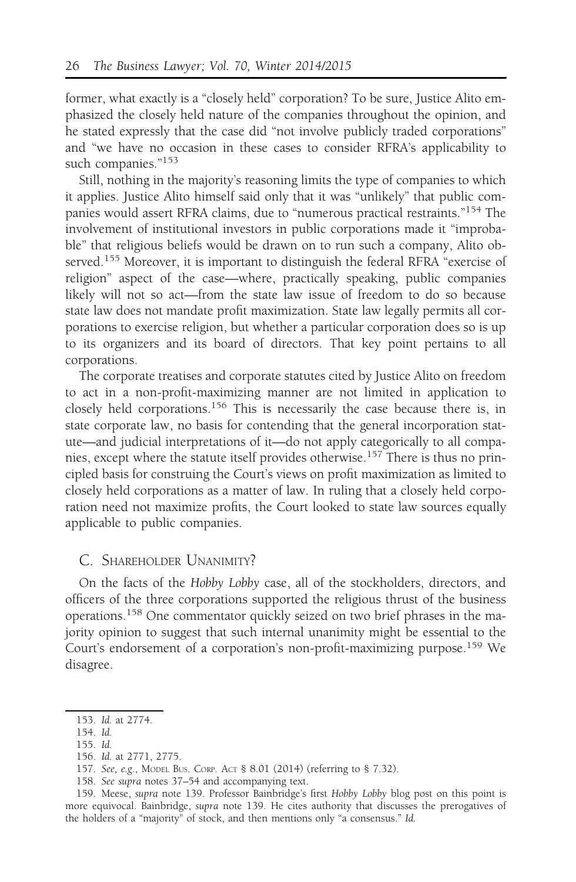former, what exactly is a "closely held" corporation? To be sure, Justice Alito emphasized the closely held nature of the companies throughout the opinion, and he stated expressly that the case did "not involve publicly traded corporations" and "we have no occasion in these cases to consider RFRA's applicability to such companies."<sup>153</sup>

Still, nothing in the majority's reasoning limits the type of companies to which it applies. Justice Alito himself said only that it was "unlikely" that public companies would assert RFRA claims, due to "numerous practical restraints."<sup>154</sup> The involvement of institutional investors in public corporations made it "improbable" that religious beliefs would be drawn on to run such a company, Alito observed.<sup>155</sup> Moreover, it is important to distinguish the federal RFRA "exercise of religion" aspect of the case—where, practically speaking, public companies likely will not so act—from the state law issue of freedom to do so because state law does not mandate profit maximization. State law legally permits all corporations to exercise religion, but whether a particular corporation does so is up to its organizers and its board of directors. That key point pertains to all corporations.

The corporate treatises and corporate statutes cited by Justice Alito on freedom to act in a non-profit-maximizing manner are not limited in application to closely held corporations.<sup>156</sup> This is necessarily the case because there is, in state corporate law, no basis for contending that the general incorporation statute—and judicial interpretations of it—do not apply categorically to all companies, except where the statute itself provides otherwise.157 There is thus no principled basis for construing the Court's views on profit maximization as limited to closely held corporations as a matter of law. In ruling that a closely held corporation need not maximize profits, the Court looked to state law sources equally applicable to public companies.

#### C. SHAREHOLDER UNANIMITY?

On the facts of the Hobby Lobby case, all of the stockholders, directors, and officers of the three corporations supported the religious thrust of the business operations.<sup>158</sup> One commentator quickly seized on two brief phrases in the majority opinion to suggest that such internal unanimity might be essential to the Court's endorsement of a corporation's non-profit-maximizing purpose.<sup>159</sup> We disagree.

158. See supra notes 37–54 and accompanying text.

<sup>153.</sup> Id. at 2774.

<sup>154.</sup> Id.

<sup>155.</sup> Id.

<sup>156.</sup> Id. at 2771, 2775.

<sup>157.</sup> See, e.g., MODEL BUS. CORP. ACT § 8.01 (2014) (referring to § 7.32).

<sup>159.</sup> Meese, supra note 139. Professor Bainbridge's first Hobby Lobby blog post on this point is more equivocal. Bainbridge, supra note 139. He cites authority that discusses the prerogatives of the holders of a "majority" of stock, and then mentions only "a consensus." Id.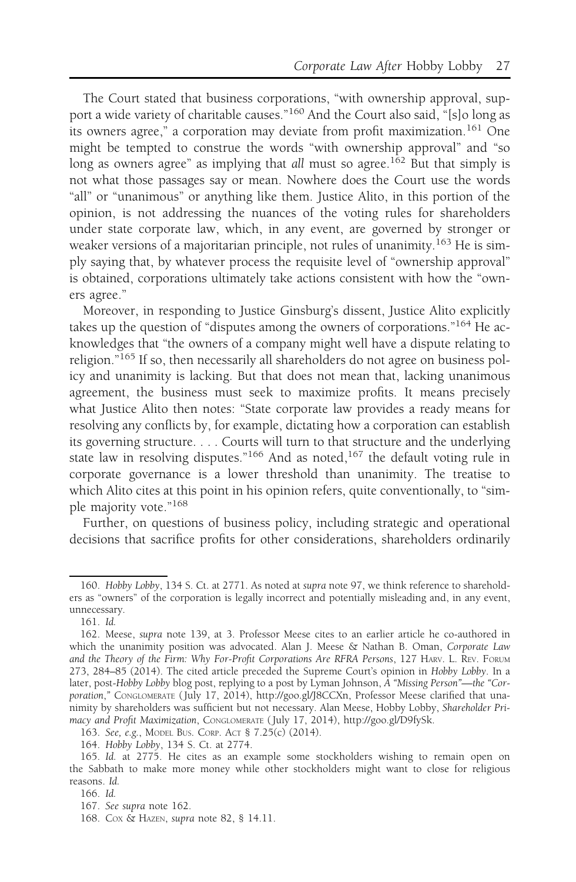The Court stated that business corporations, "with ownership approval, support a wide variety of charitable causes."<sup>160</sup> And the Court also said, "[s]o long as its owners agree," a corporation may deviate from profit maximization.<sup>161</sup> One might be tempted to construe the words "with ownership approval" and "so long as owners agree" as implying that all must so agree.<sup>162</sup> But that simply is not what those passages say or mean. Nowhere does the Court use the words "all" or "unanimous" or anything like them. Justice Alito, in this portion of the opinion, is not addressing the nuances of the voting rules for shareholders under state corporate law, which, in any event, are governed by stronger or weaker versions of a majoritarian principle, not rules of unanimity.<sup>163</sup> He is simply saying that, by whatever process the requisite level of "ownership approval" is obtained, corporations ultimately take actions consistent with how the "owners agree."

Moreover, in responding to Justice Ginsburg's dissent, Justice Alito explicitly takes up the question of "disputes among the owners of corporations."<sup>164</sup> He acknowledges that "the owners of a company might well have a dispute relating to religion."<sup>165</sup> If so, then necessarily all shareholders do not agree on business policy and unanimity is lacking. But that does not mean that, lacking unanimous agreement, the business must seek to maximize profits. It means precisely what Justice Alito then notes: "State corporate law provides a ready means for resolving any conflicts by, for example, dictating how a corporation can establish its governing structure. . . . Courts will turn to that structure and the underlying state law in resolving disputes."<sup>166</sup> And as noted,<sup>167</sup> the default voting rule in corporate governance is a lower threshold than unanimity. The treatise to which Alito cites at this point in his opinion refers, quite conventionally, to "simple majority vote."168

Further, on questions of business policy, including strategic and operational decisions that sacrifice profits for other considerations, shareholders ordinarily

<sup>160.</sup> Hobby Lobby, 134 S. Ct. at 2771. As noted at supra note 97, we think reference to shareholders as "owners" of the corporation is legally incorrect and potentially misleading and, in any event, unnecessary.

<sup>161.</sup> Id.

<sup>162.</sup> Meese, supra note 139, at 3. Professor Meese cites to an earlier article he co-authored in which the unanimity position was advocated. Alan J. Meese & Nathan B. Oman, Corporate Law and the Theory of the Firm: Why For-Profit Corporations Are RFRA Persons, 127 HARV. L. REV. FORUM 273, 284–85 (2014). The cited article preceded the Supreme Court's opinion in Hobby Lobby. In a later, post-Hobby Lobby blog post, replying to a post by Lyman Johnson, A "Missing Person"—the "Corporation," CONGLOMERATE ( July 17, 2014), http://goo.gl/J8CCXn, Professor Meese clarified that unanimity by shareholders was sufficient but not necessary. Alan Meese, Hobby Lobby, Shareholder Primacy and Profit Maximization, CONGLOMERATE ( July 17, 2014), http://goo.gl/D9fySk.

<sup>163.</sup> See, e.g., MODEL BUS. CORP. ACT § 7.25(c) (2014).

<sup>164.</sup> Hobby Lobby, 134 S. Ct. at 2774.

<sup>165.</sup> Id. at 2775. He cites as an example some stockholders wishing to remain open on the Sabbath to make more money while other stockholders might want to close for religious reasons. Id.

<sup>166.</sup> Id.

<sup>167.</sup> See supra note 162.

<sup>168.</sup> COX & HAZEN, supra note 82, § 14.11.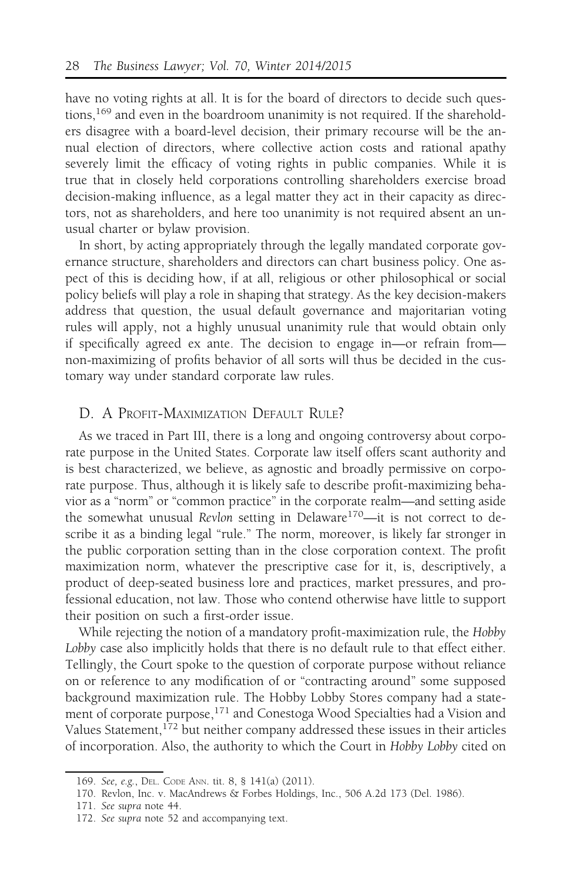have no voting rights at all. It is for the board of directors to decide such questions,<sup>169</sup> and even in the boardroom unanimity is not required. If the shareholders disagree with a board-level decision, their primary recourse will be the annual election of directors, where collective action costs and rational apathy severely limit the efficacy of voting rights in public companies. While it is true that in closely held corporations controlling shareholders exercise broad decision-making influence, as a legal matter they act in their capacity as directors, not as shareholders, and here too unanimity is not required absent an unusual charter or bylaw provision.

In short, by acting appropriately through the legally mandated corporate governance structure, shareholders and directors can chart business policy. One aspect of this is deciding how, if at all, religious or other philosophical or social policy beliefs will play a role in shaping that strategy. As the key decision-makers address that question, the usual default governance and majoritarian voting rules will apply, not a highly unusual unanimity rule that would obtain only if specifically agreed ex ante. The decision to engage in—or refrain from non-maximizing of profits behavior of all sorts will thus be decided in the customary way under standard corporate law rules.

#### D. A PROFIT-MAXIMIZATION DEFAULT RULE?

As we traced in Part III, there is a long and ongoing controversy about corporate purpose in the United States. Corporate law itself offers scant authority and is best characterized, we believe, as agnostic and broadly permissive on corporate purpose. Thus, although it is likely safe to describe profit-maximizing behavior as a "norm" or "common practice" in the corporate realm—and setting aside the somewhat unusual Revlon setting in Delaware<sup>170</sup>—it is not correct to describe it as a binding legal "rule." The norm, moreover, is likely far stronger in the public corporation setting than in the close corporation context. The profit maximization norm, whatever the prescriptive case for it, is, descriptively, a product of deep-seated business lore and practices, market pressures, and professional education, not law. Those who contend otherwise have little to support their position on such a first-order issue.

While rejecting the notion of a mandatory profit-maximization rule, the Hobby Lobby case also implicitly holds that there is no default rule to that effect either. Tellingly, the Court spoke to the question of corporate purpose without reliance on or reference to any modification of or "contracting around" some supposed background maximization rule. The Hobby Lobby Stores company had a statement of corporate purpose,<sup>171</sup> and Conestoga Wood Specialties had a Vision and Values Statement,<sup>172</sup> but neither company addressed these issues in their articles of incorporation. Also, the authority to which the Court in Hobby Lobby cited on

<sup>169.</sup> See, e.g., DEL. CODE ANN. tit. 8, § 141(a) (2011).

<sup>170.</sup> Revlon, Inc. v. MacAndrews & Forbes Holdings, Inc., 506 A.2d 173 (Del. 1986).

<sup>171.</sup> See supra note 44.

<sup>172.</sup> See supra note 52 and accompanying text.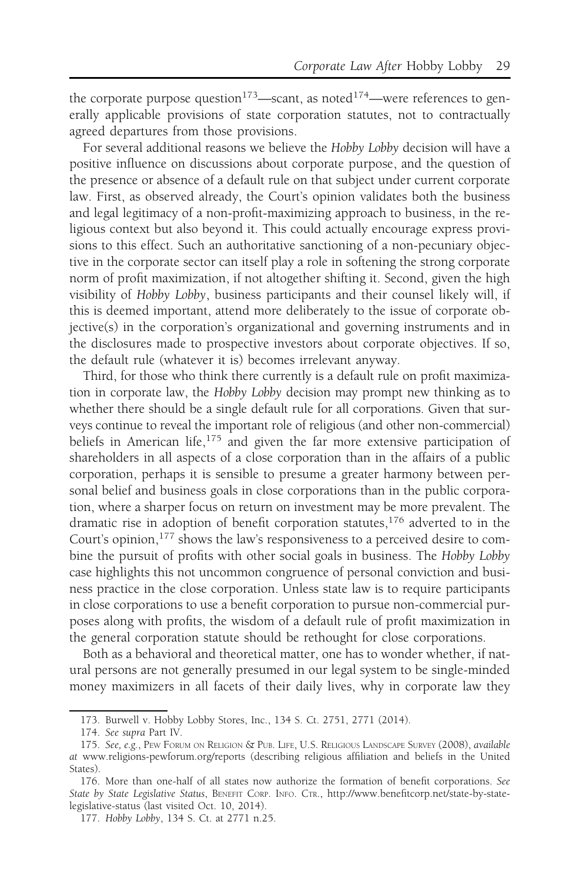the corporate purpose question<sup>173</sup>—scant, as noted<sup>174</sup>—were references to generally applicable provisions of state corporation statutes, not to contractually agreed departures from those provisions.

For several additional reasons we believe the Hobby Lobby decision will have a positive influence on discussions about corporate purpose, and the question of the presence or absence of a default rule on that subject under current corporate law. First, as observed already, the Court's opinion validates both the business and legal legitimacy of a non-profit-maximizing approach to business, in the religious context but also beyond it. This could actually encourage express provisions to this effect. Such an authoritative sanctioning of a non-pecuniary objective in the corporate sector can itself play a role in softening the strong corporate norm of profit maximization, if not altogether shifting it. Second, given the high visibility of Hobby Lobby, business participants and their counsel likely will, if this is deemed important, attend more deliberately to the issue of corporate objective(s) in the corporation's organizational and governing instruments and in the disclosures made to prospective investors about corporate objectives. If so, the default rule (whatever it is) becomes irrelevant anyway.

Third, for those who think there currently is a default rule on profit maximization in corporate law, the Hobby Lobby decision may prompt new thinking as to whether there should be a single default rule for all corporations. Given that surveys continue to reveal the important role of religious (and other non-commercial) beliefs in American life, $175$  and given the far more extensive participation of shareholders in all aspects of a close corporation than in the affairs of a public corporation, perhaps it is sensible to presume a greater harmony between personal belief and business goals in close corporations than in the public corporation, where a sharper focus on return on investment may be more prevalent. The dramatic rise in adoption of benefit corporation statutes,<sup>176</sup> adverted to in the Court's opinion,<sup>177</sup> shows the law's responsiveness to a perceived desire to combine the pursuit of profits with other social goals in business. The Hobby Lobby case highlights this not uncommon congruence of personal conviction and business practice in the close corporation. Unless state law is to require participants in close corporations to use a benefit corporation to pursue non-commercial purposes along with profits, the wisdom of a default rule of profit maximization in the general corporation statute should be rethought for close corporations.

Both as a behavioral and theoretical matter, one has to wonder whether, if natural persons are not generally presumed in our legal system to be single-minded money maximizers in all facets of their daily lives, why in corporate law they

<sup>173.</sup> Burwell v. Hobby Lobby Stores, Inc., 134 S. Ct. 2751, 2771 (2014).

<sup>174.</sup> See supra Part IV.

<sup>175.</sup> See, e.g., PEW FORUM ON RELIGION & PUB. LIFE, U.S. RELIGIOUS LANDSCAPE SURVEY (2008), available at www.religions-pewforum.org/reports (describing religious affiliation and beliefs in the United States).

<sup>176.</sup> More than one-half of all states now authorize the formation of benefit corporations. See State by State Legislative Status, BENEFIT CORP. INFO. CTR., http://www.benefitcorp.net/state-by-statelegislative-status (last visited Oct. 10, 2014).

<sup>177.</sup> Hobby Lobby, 134 S. Ct. at 2771 n.25.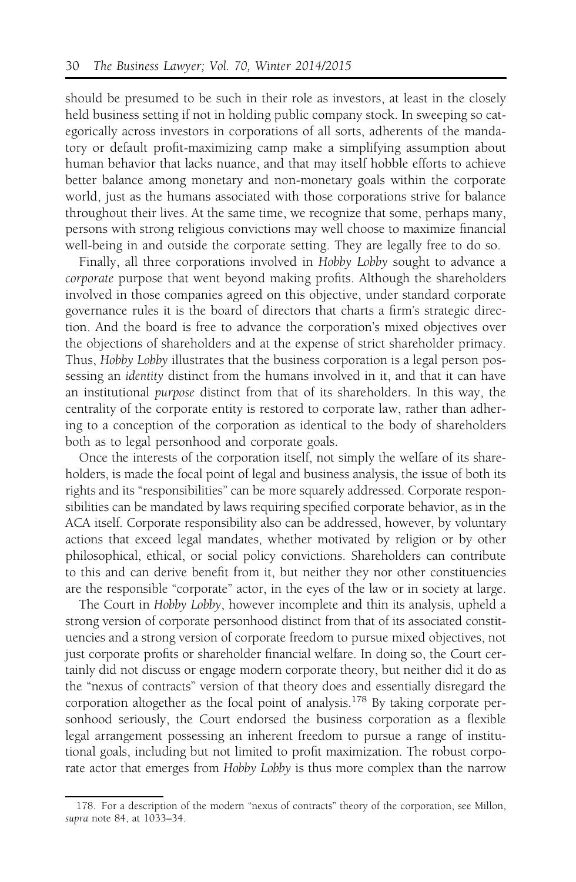should be presumed to be such in their role as investors, at least in the closely held business setting if not in holding public company stock. In sweeping so categorically across investors in corporations of all sorts, adherents of the mandatory or default profit-maximizing camp make a simplifying assumption about human behavior that lacks nuance, and that may itself hobble efforts to achieve better balance among monetary and non-monetary goals within the corporate world, just as the humans associated with those corporations strive for balance throughout their lives. At the same time, we recognize that some, perhaps many, persons with strong religious convictions may well choose to maximize financial well-being in and outside the corporate setting. They are legally free to do so.

Finally, all three corporations involved in Hobby Lobby sought to advance a corporate purpose that went beyond making profits. Although the shareholders involved in those companies agreed on this objective, under standard corporate governance rules it is the board of directors that charts a firm's strategic direction. And the board is free to advance the corporation's mixed objectives over the objections of shareholders and at the expense of strict shareholder primacy. Thus, Hobby Lobby illustrates that the business corporation is a legal person possessing an identity distinct from the humans involved in it, and that it can have an institutional purpose distinct from that of its shareholders. In this way, the centrality of the corporate entity is restored to corporate law, rather than adhering to a conception of the corporation as identical to the body of shareholders both as to legal personhood and corporate goals.

Once the interests of the corporation itself, not simply the welfare of its shareholders, is made the focal point of legal and business analysis, the issue of both its rights and its "responsibilities" can be more squarely addressed. Corporate responsibilities can be mandated by laws requiring specified corporate behavior, as in the ACA itself. Corporate responsibility also can be addressed, however, by voluntary actions that exceed legal mandates, whether motivated by religion or by other philosophical, ethical, or social policy convictions. Shareholders can contribute to this and can derive benefit from it, but neither they nor other constituencies are the responsible "corporate" actor, in the eyes of the law or in society at large.

The Court in Hobby Lobby, however incomplete and thin its analysis, upheld a strong version of corporate personhood distinct from that of its associated constituencies and a strong version of corporate freedom to pursue mixed objectives, not just corporate profits or shareholder financial welfare. In doing so, the Court certainly did not discuss or engage modern corporate theory, but neither did it do as the "nexus of contracts" version of that theory does and essentially disregard the corporation altogether as the focal point of analysis.178 By taking corporate personhood seriously, the Court endorsed the business corporation as a flexible legal arrangement possessing an inherent freedom to pursue a range of institutional goals, including but not limited to profit maximization. The robust corporate actor that emerges from Hobby Lobby is thus more complex than the narrow

<sup>178.</sup> For a description of the modern "nexus of contracts" theory of the corporation, see Millon, supra note 84, at 1033–34.